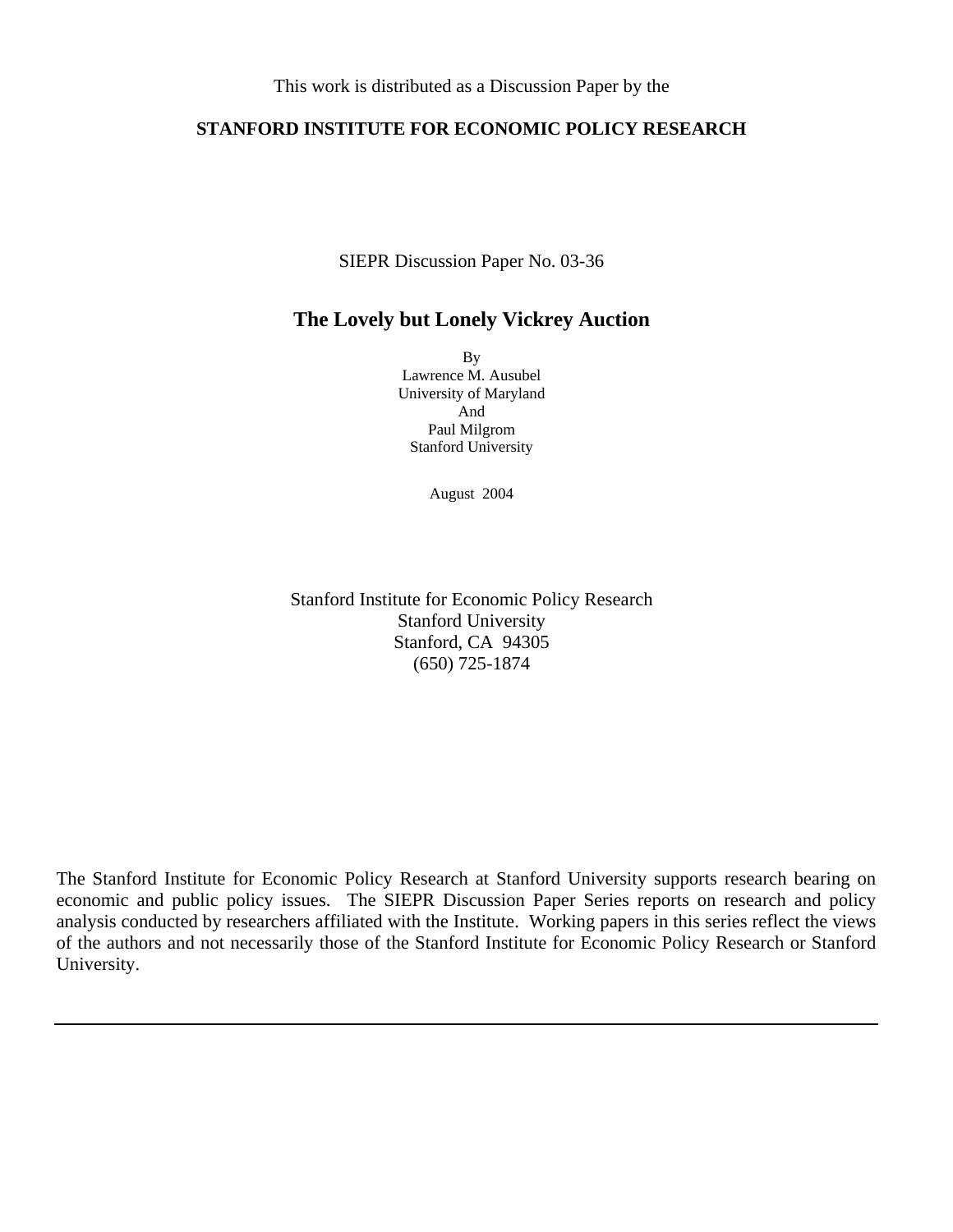#### **STANFORD INSTITUTE FOR ECONOMIC POLICY RESEARCH**

SIEPR Discussion Paper No. 03-36

## **The Lovely but Lonely Vickrey Auction**

By Lawrence M. Ausubel University of Maryland And Paul Milgrom Stanford University

August 2004

Stanford Institute for Economic Policy Research Stanford University Stanford, CA 94305 (650) 725-1874

The Stanford Institute for Economic Policy Research at Stanford University supports research bearing on economic and public policy issues. The SIEPR Discussion Paper Series reports on research and policy analysis conducted by researchers affiliated with the Institute. Working papers in this series reflect the views of the authors and not necessarily those of the Stanford Institute for Economic Policy Research or Stanford University.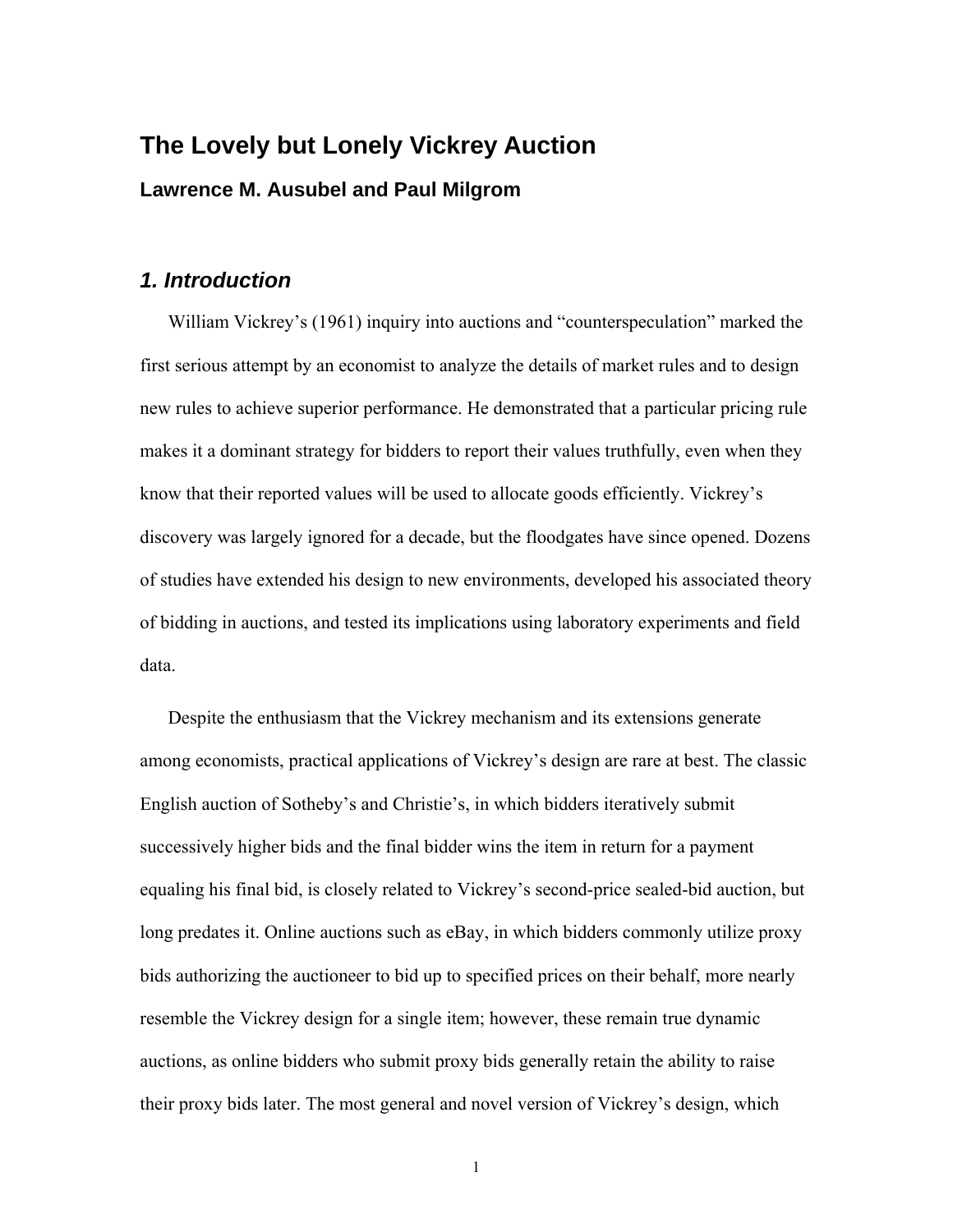# **The Lovely but Lonely Vickrey Auction Lawrence M. Ausubel and Paul Milgrom**

### *1. Introduction*

William Vickrey's (1961) inquiry into auctions and "counterspeculation" marked the first serious attempt by an economist to analyze the details of market rules and to design new rules to achieve superior performance. He demonstrated that a particular pricing rule makes it a dominant strategy for bidders to report their values truthfully, even when they know that their reported values will be used to allocate goods efficiently. Vickrey's discovery was largely ignored for a decade, but the floodgates have since opened. Dozens of studies have extended his design to new environments, developed his associated theory of bidding in auctions, and tested its implications using laboratory experiments and field data.

Despite the enthusiasm that the Vickrey mechanism and its extensions generate among economists, practical applications of Vickrey's design are rare at best. The classic English auction of Sotheby's and Christie's, in which bidders iteratively submit successively higher bids and the final bidder wins the item in return for a payment equaling his final bid, is closely related to Vickrey's second-price sealed-bid auction, but long predates it. Online auctions such as eBay, in which bidders commonly utilize proxy bids authorizing the auctioneer to bid up to specified prices on their behalf, more nearly resemble the Vickrey design for a single item; however, these remain true dynamic auctions, as online bidders who submit proxy bids generally retain the ability to raise their proxy bids later. The most general and novel version of Vickrey's design, which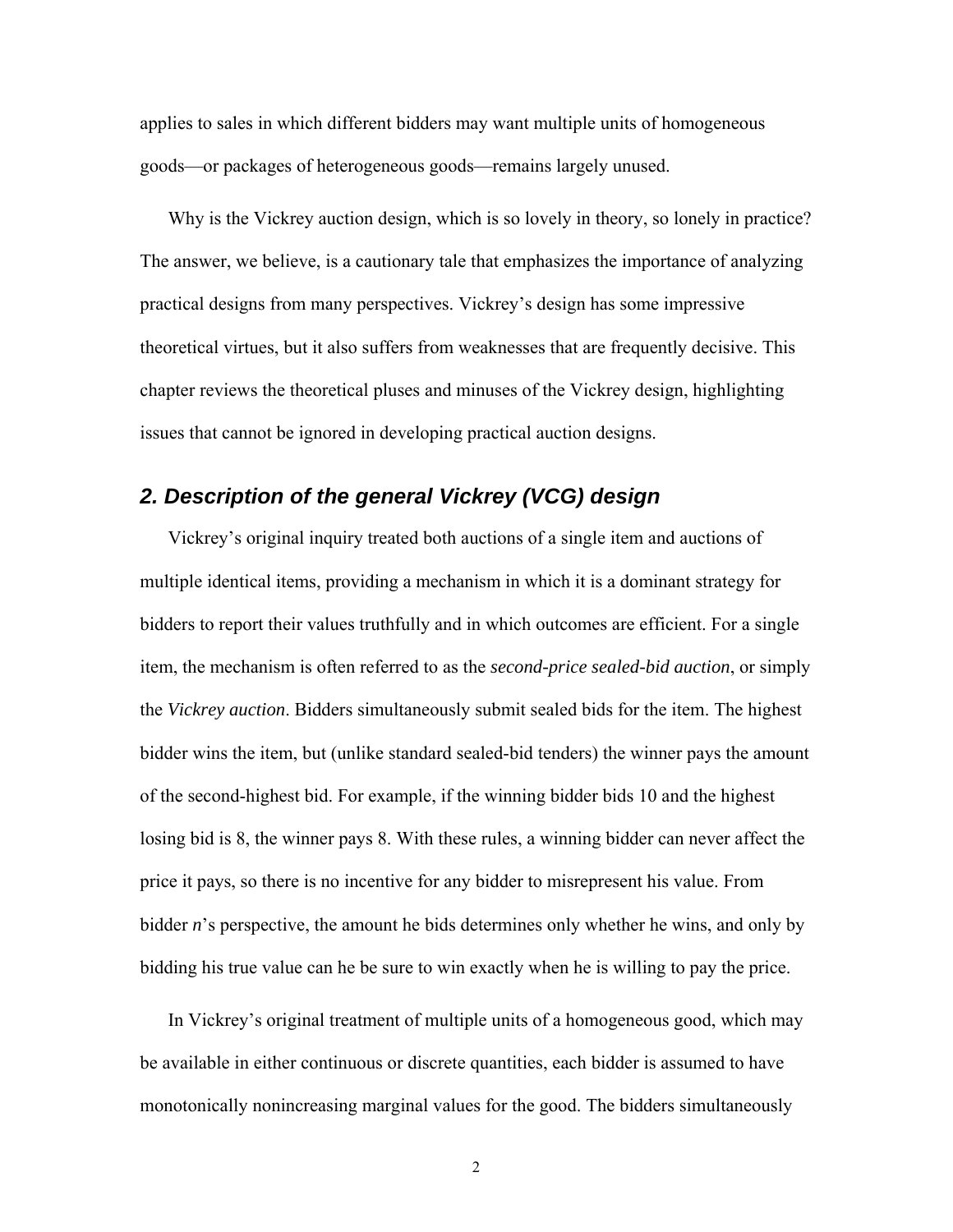applies to sales in which different bidders may want multiple units of homogeneous goods—or packages of heterogeneous goods—remains largely unused.

Why is the Vickrey auction design, which is so lovely in theory, so lonely in practice? The answer, we believe, is a cautionary tale that emphasizes the importance of analyzing practical designs from many perspectives. Vickrey's design has some impressive theoretical virtues, but it also suffers from weaknesses that are frequently decisive. This chapter reviews the theoretical pluses and minuses of the Vickrey design, highlighting issues that cannot be ignored in developing practical auction designs.

## *2. Description of the general Vickrey (VCG) design*

Vickrey's original inquiry treated both auctions of a single item and auctions of multiple identical items, providing a mechanism in which it is a dominant strategy for bidders to report their values truthfully and in which outcomes are efficient. For a single item, the mechanism is often referred to as the *second-price sealed-bid auction*, or simply the *Vickrey auction*. Bidders simultaneously submit sealed bids for the item. The highest bidder wins the item, but (unlike standard sealed-bid tenders) the winner pays the amount of the second-highest bid. For example, if the winning bidder bids 10 and the highest losing bid is 8, the winner pays 8. With these rules, a winning bidder can never affect the price it pays, so there is no incentive for any bidder to misrepresent his value. From bidder *n*'s perspective, the amount he bids determines only whether he wins, and only by bidding his true value can he be sure to win exactly when he is willing to pay the price.

In Vickrey's original treatment of multiple units of a homogeneous good, which may be available in either continuous or discrete quantities, each bidder is assumed to have monotonically nonincreasing marginal values for the good. The bidders simultaneously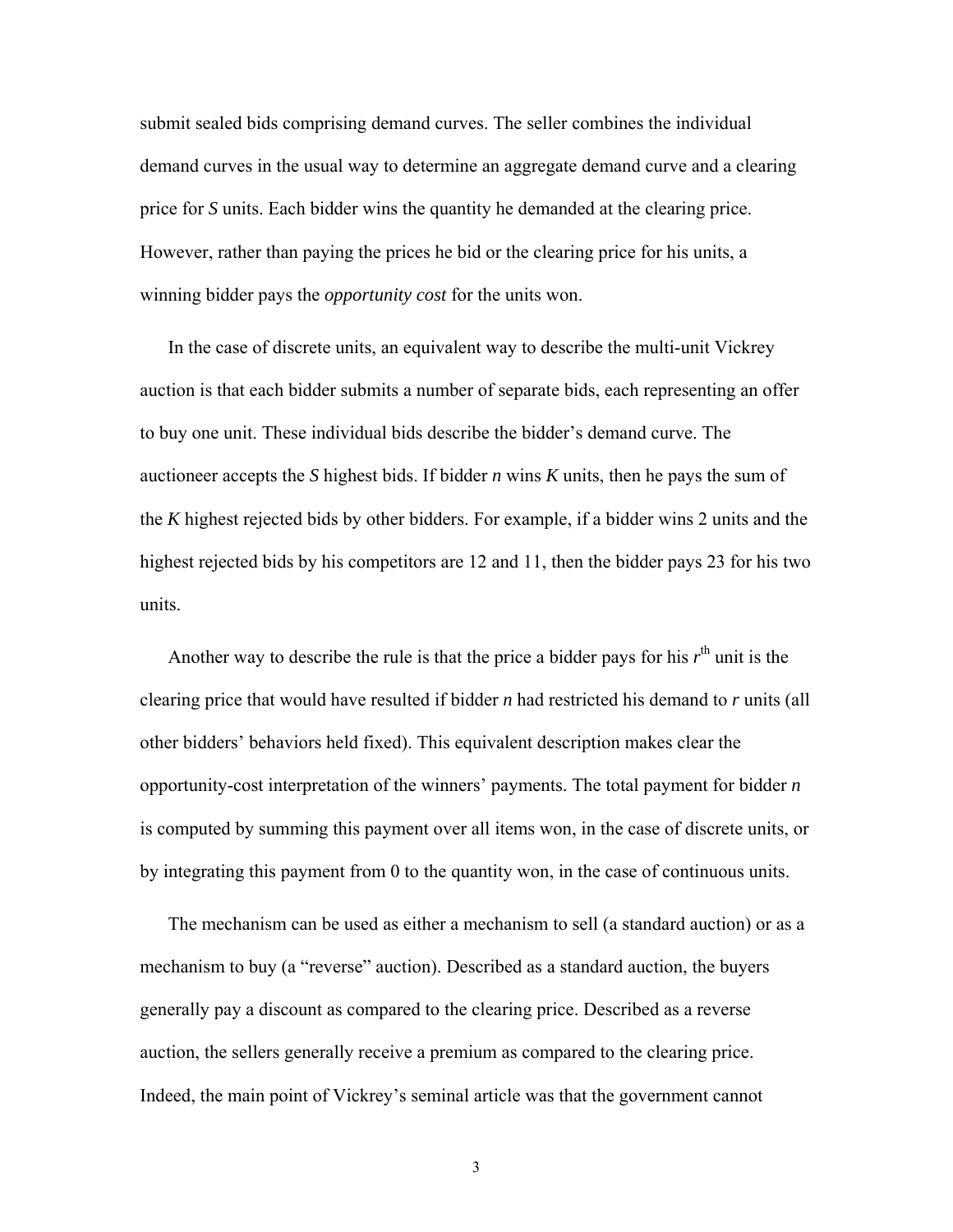submit sealed bids comprising demand curves. The seller combines the individual demand curves in the usual way to determine an aggregate demand curve and a clearing price for *S* units. Each bidder wins the quantity he demanded at the clearing price. However, rather than paying the prices he bid or the clearing price for his units, a winning bidder pays the *opportunity cost* for the units won.

In the case of discrete units, an equivalent way to describe the multi-unit Vickrey auction is that each bidder submits a number of separate bids, each representing an offer to buy one unit. These individual bids describe the bidder's demand curve. The auctioneer accepts the *S* highest bids. If bidder *n* wins *K* units, then he pays the sum of the *K* highest rejected bids by other bidders. For example, if a bidder wins 2 units and the highest rejected bids by his competitors are 12 and 11, then the bidder pays 23 for his two units.

Another way to describe the rule is that the price a bidder pays for his  $r<sup>th</sup>$  unit is the clearing price that would have resulted if bidder *n* had restricted his demand to *r* units (all other bidders' behaviors held fixed). This equivalent description makes clear the opportunity-cost interpretation of the winners' payments. The total payment for bidder *n* is computed by summing this payment over all items won, in the case of discrete units, or by integrating this payment from 0 to the quantity won, in the case of continuous units.

The mechanism can be used as either a mechanism to sell (a standard auction) or as a mechanism to buy (a "reverse" auction). Described as a standard auction, the buyers generally pay a discount as compared to the clearing price. Described as a reverse auction, the sellers generally receive a premium as compared to the clearing price. Indeed, the main point of Vickrey's seminal article was that the government cannot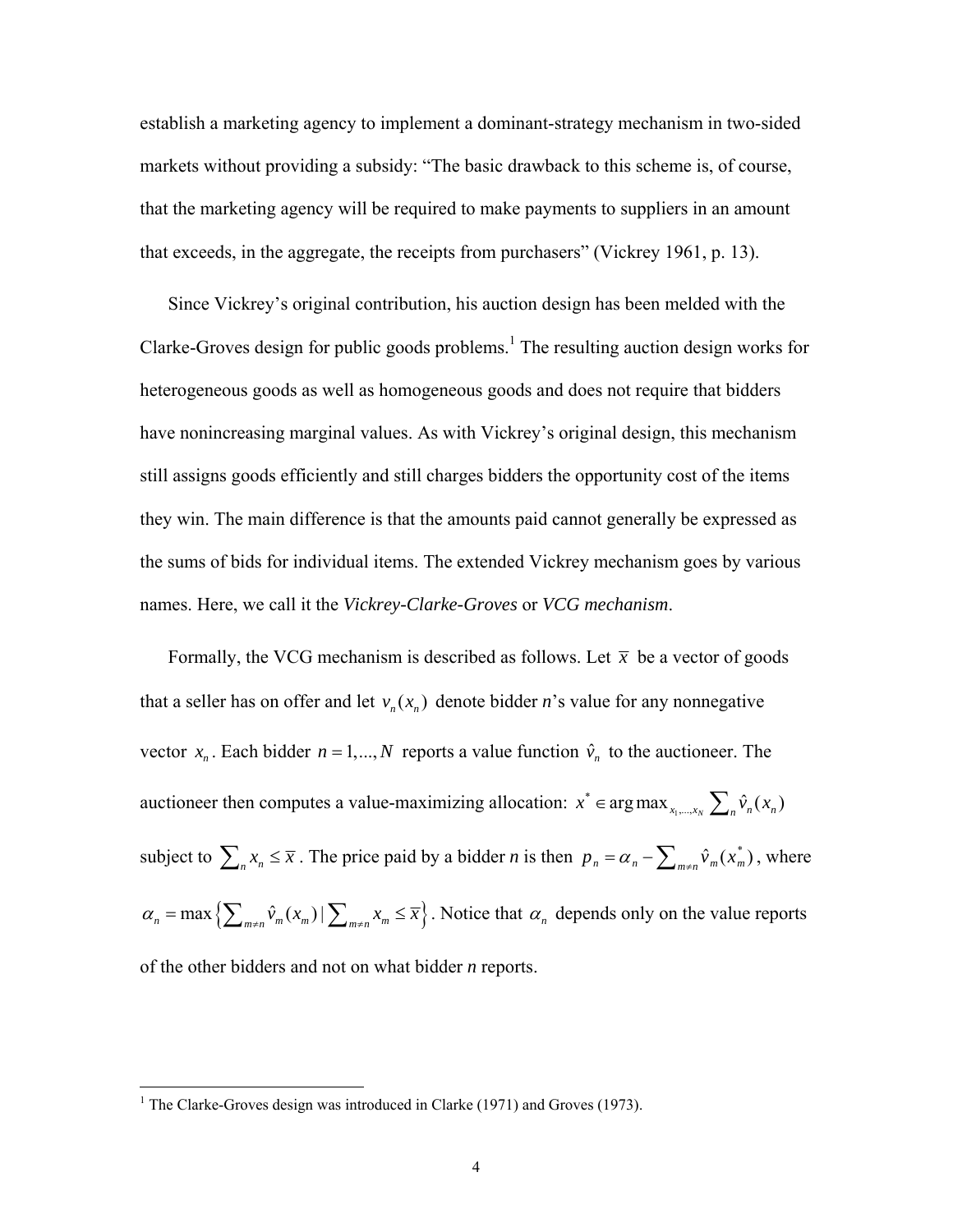establish a marketing agency to implement a dominant-strategy mechanism in two-sided markets without providing a subsidy: "The basic drawback to this scheme is, of course, that the marketing agency will be required to make payments to suppliers in an amount that exceeds, in the aggregate, the receipts from purchasers" (Vickrey 1961, p. 13).

Since Vickrey's original contribution, his auction design has been melded with the Clarke-Groves design for public goods problems.<sup>1</sup> The resulting auction design works for heterogeneous goods as well as homogeneous goods and does not require that bidders have nonincreasing marginal values. As with Vickrey's original design, this mechanism still assigns goods efficiently and still charges bidders the opportunity cost of the items they win. The main difference is that the amounts paid cannot generally be expressed as the sums of bids for individual items. The extended Vickrey mechanism goes by various names. Here, we call it the *Vickrey-Clarke-Groves* or *VCG mechanism*.

Formally, the VCG mechanism is described as follows. Let  $\bar{x}$  be a vector of goods that a seller has on offer and let  $v_n(x_n)$  denote bidder *n*'s value for any nonnegative vector  $x_n$ . Each bidder  $n = 1,..., N$  reports a value function  $\hat{v}_n$  to the auctioneer. The auctioneer then computes a value-maximizing allocation:  $x^* \in \arg \max_{x_1, \dots, x_N} \sum_{n} \hat{v}_n(x_n)$ subject to  $\sum_{n} x_n \leq \overline{x}$ . The price paid by a bidder *n* is then  $p_n = \alpha_n - \sum_{m \neq n} \hat{v}_m(x_m^*)$ , where  $\alpha_n = \max \left\{ \sum_{m \neq n} \hat{v}_m(x_m) \mid \sum_{m \neq n} x_m \leq \overline{x} \right\}$ . Notice that  $\alpha_n$  depends only on the value reports of the other bidders and not on what bidder *n* reports.

<sup>&</sup>lt;sup>1</sup> The Clarke-Groves design was introduced in Clarke (1971) and Groves (1973).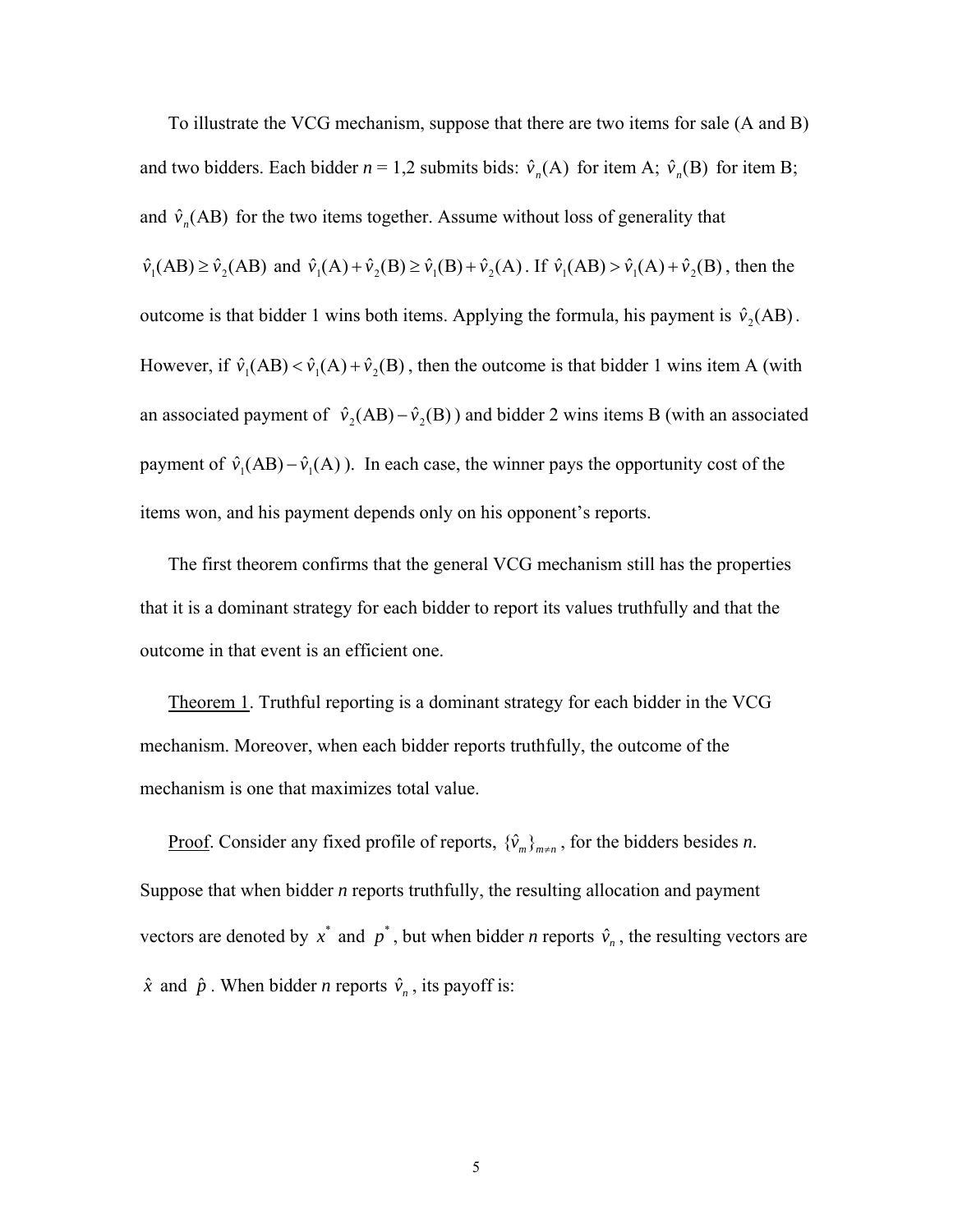To illustrate the VCG mechanism, suppose that there are two items for sale (A and B) and two bidders. Each bidder  $n = 1,2$  submits bids:  $\hat{v}_n(A)$  for item A;  $\hat{v}_n(B)$  for item B; and  $\hat{v}_n(AB)$  for the two items together. Assume without loss of generality that  $\hat{v}_1(AB) \geq \hat{v}_2(AB)$  and  $\hat{v}_1(A) + \hat{v}_2(B) \geq \hat{v}_1(B) + \hat{v}_2(A)$ . If  $\hat{v}_1(AB) > \hat{v}_1(A) + \hat{v}_2(B)$ , then the outcome is that bidder 1 wins both items. Applying the formula, his payment is  $\hat{v}_2$ (AB). However, if  $\hat{v}_1(AB) < \hat{v}_1(A) + \hat{v}_2(B)$ , then the outcome is that bidder 1 wins item A (with an associated payment of  $\hat{v}_2(AB) - \hat{v}_2(B)$ ) and bidder 2 wins items B (with an associated payment of  $\hat{v}_1(AB) - \hat{v}_1(A)$ ). In each case, the winner pays the opportunity cost of the items won, and his payment depends only on his opponent's reports.

The first theorem confirms that the general VCG mechanism still has the properties that it is a dominant strategy for each bidder to report its values truthfully and that the outcome in that event is an efficient one.

Theorem 1. Truthful reporting is a dominant strategy for each bidder in the VCG mechanism. Moreover, when each bidder reports truthfully, the outcome of the mechanism is one that maximizes total value.

<u>Proof</u>. Consider any fixed profile of reports,  $\{\hat{v}_m\}_{m \neq n}$ , for the bidders besides *n*. Suppose that when bidder *n* reports truthfully, the resulting allocation and payment vectors are denoted by  $x^*$  and  $p^*$ , but when bidder *n* reports  $\hat{v}_n$ , the resulting vectors are  $\hat{x}$  and  $\hat{p}$ . When bidder *n* reports  $\hat{v}_n$ , its payoff is: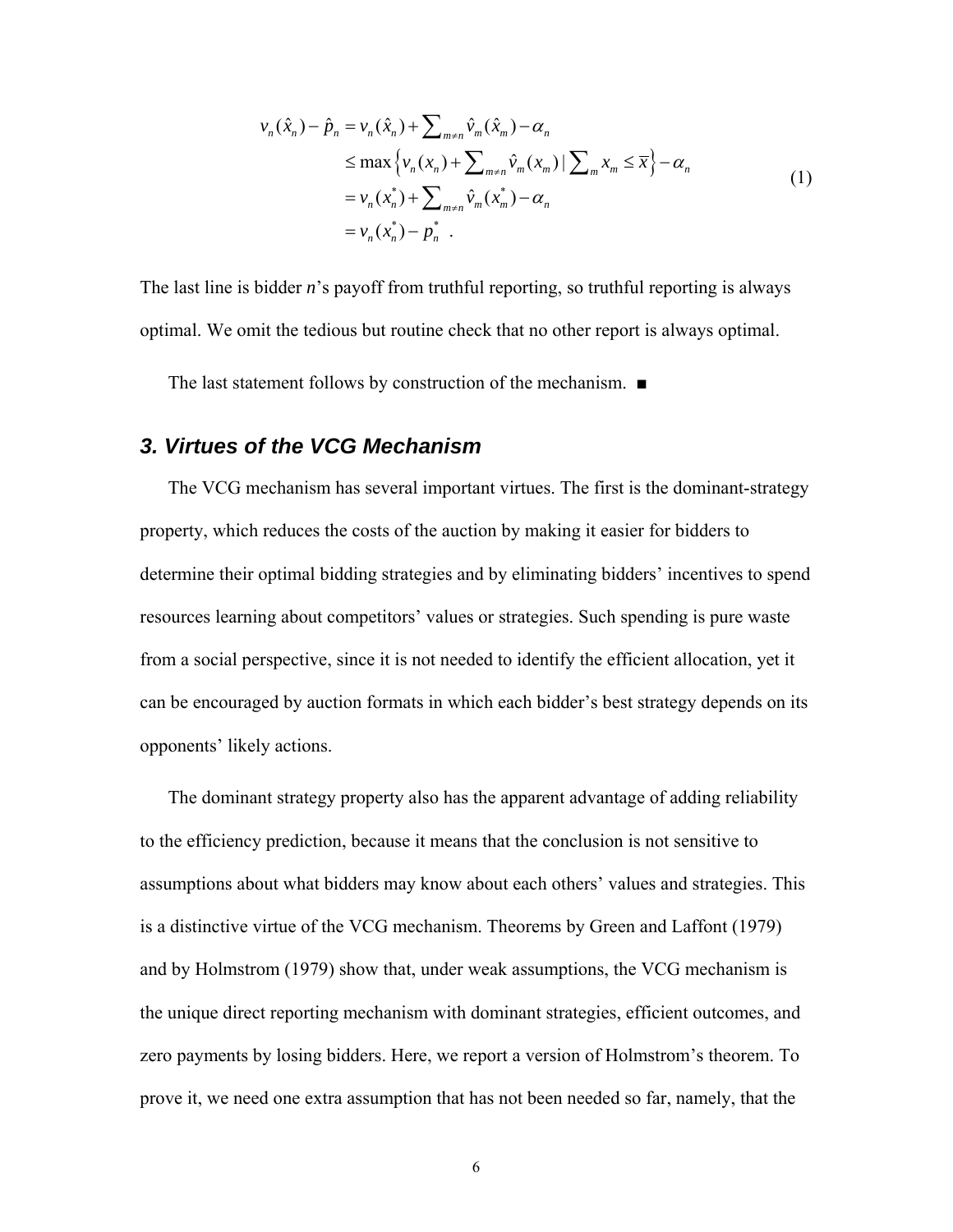$$
\nu_n(\hat{x}_n) - \hat{p}_n = \nu_n(\hat{x}_n) + \sum_{m \neq n} \hat{\nu}_m(\hat{x}_m) - \alpha_n
$$
  
\n
$$
\leq \max \{ \nu_n(x_n) + \sum_{m \neq n} \hat{\nu}_m(x_m) | \sum_m x_m \leq \overline{x} \} - \alpha_n
$$
  
\n
$$
= \nu_n(x_n^*) + \sum_{m \neq n} \hat{\nu}_m(x_m^*) - \alpha_n
$$
  
\n
$$
= \nu_n(x_n^*) - p_n^* \quad .
$$
\n(1)

The last line is bidder *n*'s payoff from truthful reporting, so truthful reporting is always optimal. We omit the tedious but routine check that no other report is always optimal.

The last statement follows by construction of the mechanism. ■

## *3. Virtues of the VCG Mechanism*

The VCG mechanism has several important virtues. The first is the dominant-strategy property, which reduces the costs of the auction by making it easier for bidders to determine their optimal bidding strategies and by eliminating bidders' incentives to spend resources learning about competitors' values or strategies. Such spending is pure waste from a social perspective, since it is not needed to identify the efficient allocation, yet it can be encouraged by auction formats in which each bidder's best strategy depends on its opponents' likely actions.

The dominant strategy property also has the apparent advantage of adding reliability to the efficiency prediction, because it means that the conclusion is not sensitive to assumptions about what bidders may know about each others' values and strategies. This is a distinctive virtue of the VCG mechanism. Theorems by Green and Laffont (1979) and by Holmstrom (1979) show that, under weak assumptions, the VCG mechanism is the unique direct reporting mechanism with dominant strategies, efficient outcomes, and zero payments by losing bidders. Here, we report a version of Holmstrom's theorem. To prove it, we need one extra assumption that has not been needed so far, namely, that the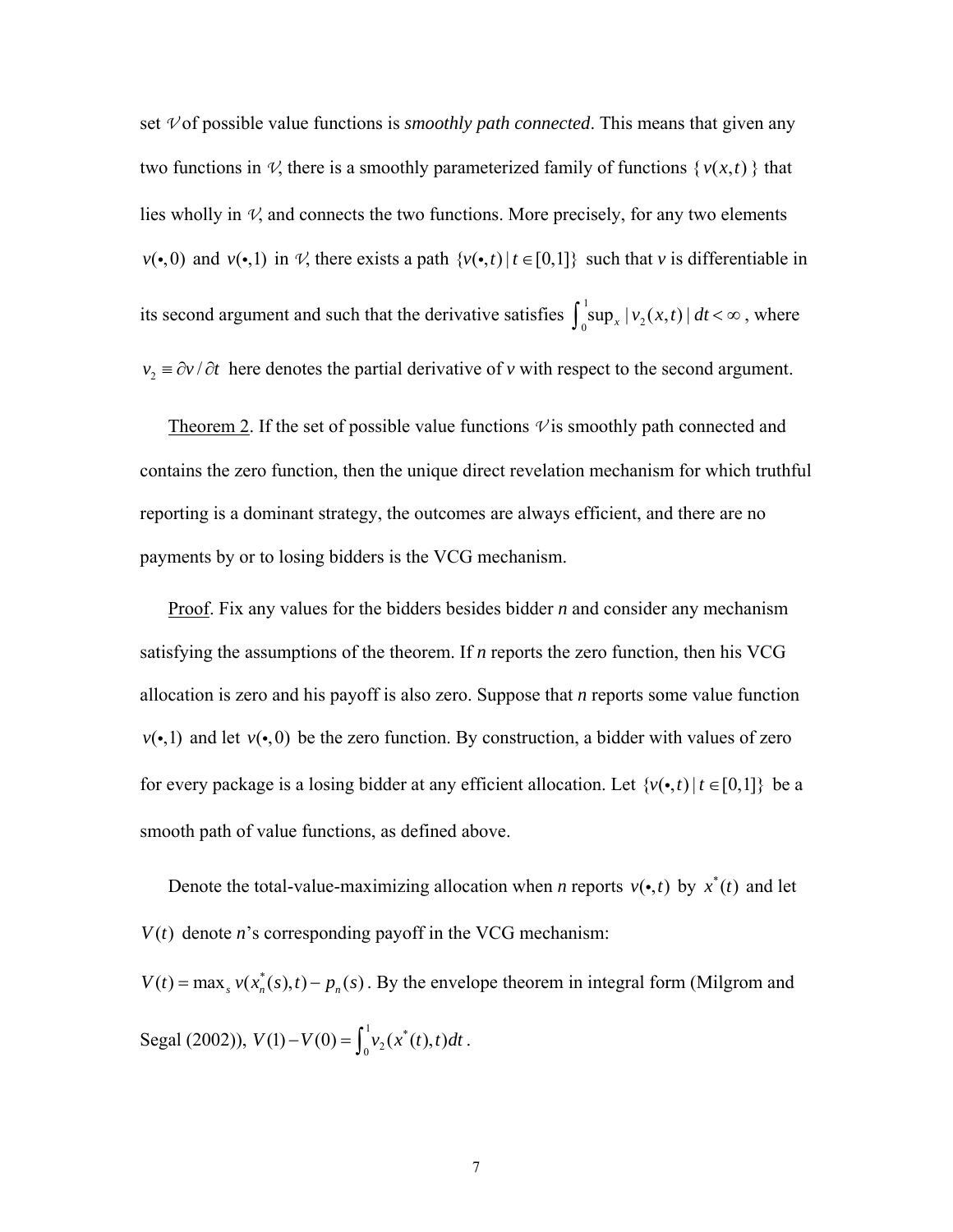set *V* of possible value functions is *smoothly path connected*. This means that given any two functions in  $\mathcal{V}$ , there is a smoothly parameterized family of functions { $v(x,t)$  } that lies wholly in  $\mathcal{V}$ , and connects the two functions. More precisely, for any two elements *v*(•,0) and *v*(•,1) in *V*, there exists a path  $\{v(\textbf{•},t) | t \in [0,1]\}$  such that *v* is differentiable in its second argument and such that the derivative satisfies  $\int_1^1$  $\int_0^1 \sup_x |v_2(x,t)| dt < \infty$ , where  $v_2 \equiv \partial v / \partial t$  here denotes the partial derivative of *v* with respect to the second argument.

Theorem 2. If the set of possible value functions  $\nu$  is smoothly path connected and contains the zero function, then the unique direct revelation mechanism for which truthful reporting is a dominant strategy, the outcomes are always efficient, and there are no payments by or to losing bidders is the VCG mechanism.

Proof. Fix any values for the bidders besides bidder *n* and consider any mechanism satisfying the assumptions of the theorem. If *n* reports the zero function, then his VCG allocation is zero and his payoff is also zero. Suppose that *n* reports some value function  $v(\cdot,1)$  and let  $v(\cdot,0)$  be the zero function. By construction, a bidder with values of zero for every package is a losing bidder at any efficient allocation. Let  $\{v(\bullet, t) | t \in [0,1]\}$  be a smooth path of value functions, as defined above.

Denote the total-value-maximizing allocation when *n* reports  $v(\cdot, t)$  by  $x^*(t)$  and let  $V(t)$  denote *n*'s corresponding payoff in the VCG mechanism:

 $V(t) = \max_{s} v(x_n^{*}(s), t) - p_n(s)$ . By the envelope theorem in integral form (Milgrom and Segal (2002)),  $V(1) - V(0) = \int_{0}^{1} v_2(x^*)$  $V(1) - V(0) = \int_0^1 v_2(x^*(t), t) dt$ .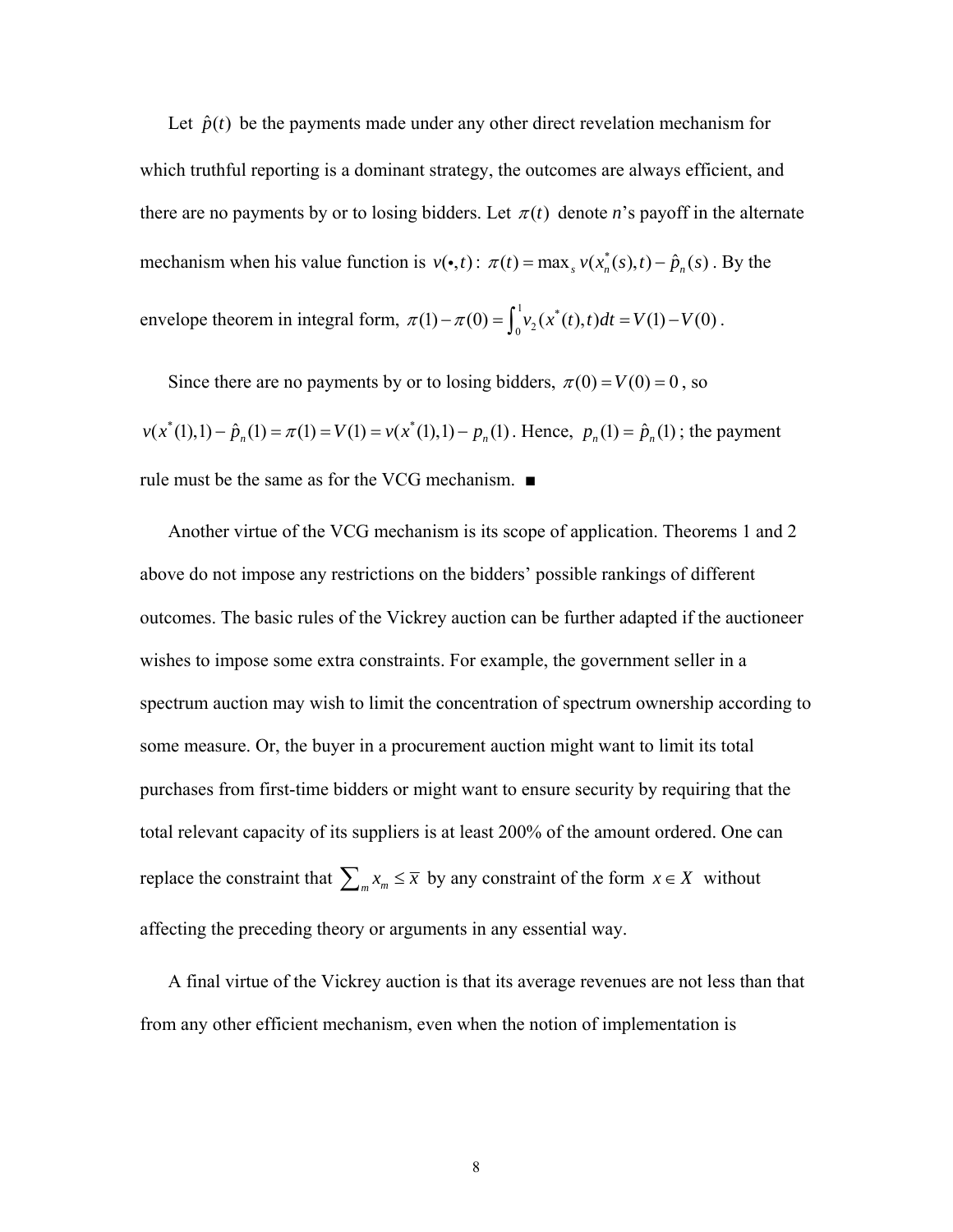Let  $\hat{p}(t)$  be the payments made under any other direct revelation mechanism for which truthful reporting is a dominant strategy, the outcomes are always efficient, and there are no payments by or to losing bidders. Let  $\pi(t)$  denote *n*'s payoff in the alternate mechanism when his value function is  $v(\cdot, t)$ :  $\pi(t) = \max_{s} v(x_n^*(s), t) - \hat{p}_n(s)$ . By the envelope theorem in integral form,  $\pi(1) - \pi(0) = \int_{0}^{1} v_2(x^*)^2 dx$  $\pi(1) - \pi(0) = \int_0^1 v_2(x^*(t), t) dt = V(1) - V(0)$ .

Since there are no payments by or to losing bidders,  $\pi(0) = V(0) = 0$ , so  $v(x^*(1),1) - \hat{p}_n(1) = \pi(1) = V(1) = v(x^*(1),1) - p_n(1)$ . Hence,  $p_n(1) = \hat{p}_n(1)$ ; the payment rule must be the same as for the VCG mechanism. ■

Another virtue of the VCG mechanism is its scope of application. Theorems 1 and 2 above do not impose any restrictions on the bidders' possible rankings of different outcomes. The basic rules of the Vickrey auction can be further adapted if the auctioneer wishes to impose some extra constraints. For example, the government seller in a spectrum auction may wish to limit the concentration of spectrum ownership according to some measure. Or, the buyer in a procurement auction might want to limit its total purchases from first-time bidders or might want to ensure security by requiring that the total relevant capacity of its suppliers is at least 200% of the amount ordered. One can replace the constraint that  $\sum_{m} x_m \leq \overline{x}$  by any constraint of the form  $x \in X$  without affecting the preceding theory or arguments in any essential way.

A final virtue of the Vickrey auction is that its average revenues are not less than that from any other efficient mechanism, even when the notion of implementation is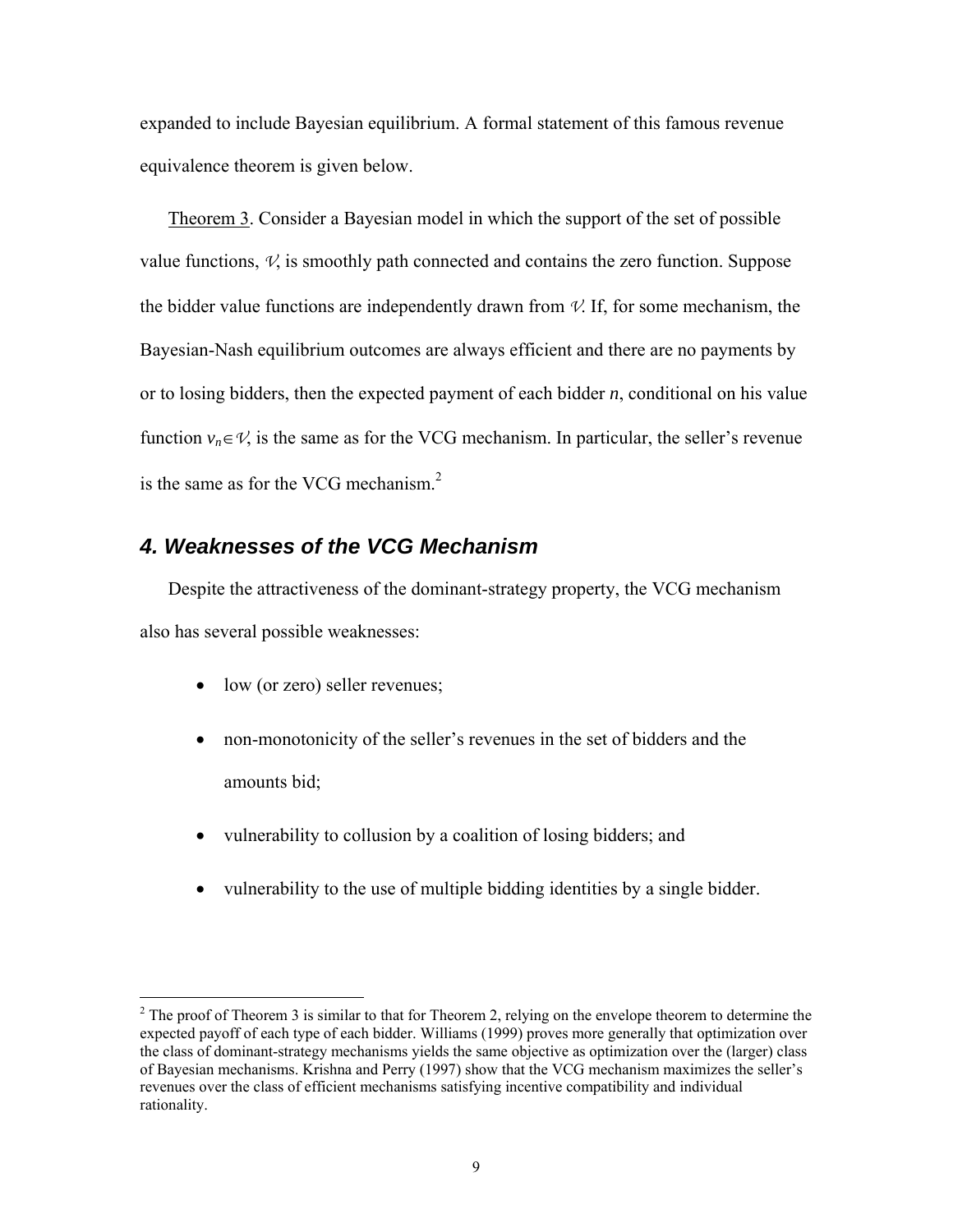expanded to include Bayesian equilibrium. A formal statement of this famous revenue equivalence theorem is given below.

Theorem 3. Consider a Bayesian model in which the support of the set of possible value functions,  $\mathcal{V}$ , is smoothly path connected and contains the zero function. Suppose the bidder value functions are independently drawn from  $\mathcal V$ . If, for some mechanism, the Bayesian-Nash equilibrium outcomes are always efficient and there are no payments by or to losing bidders, then the expected payment of each bidder *n*, conditional on his value function  $v_n \in V$ , is the same as for the VCG mechanism. In particular, the seller's revenue is the same as for the VCG mechanism. $<sup>2</sup>$ </sup>

## *4. Weaknesses of the VCG Mechanism*

Despite the attractiveness of the dominant-strategy property, the VCG mechanism also has several possible weaknesses:

• low (or zero) seller revenues;

<u>.</u>

- non-monotonicity of the seller's revenues in the set of bidders and the amounts bid;
- vulnerability to collusion by a coalition of losing bidders; and
- vulnerability to the use of multiple bidding identities by a single bidder.

 $2^2$  The proof of Theorem 3 is similar to that for Theorem 2, relying on the envelope theorem to determine the expected payoff of each type of each bidder. Williams (1999) proves more generally that optimization over the class of dominant-strategy mechanisms yields the same objective as optimization over the (larger) class of Bayesian mechanisms. Krishna and Perry (1997) show that the VCG mechanism maximizes the seller's revenues over the class of efficient mechanisms satisfying incentive compatibility and individual rationality.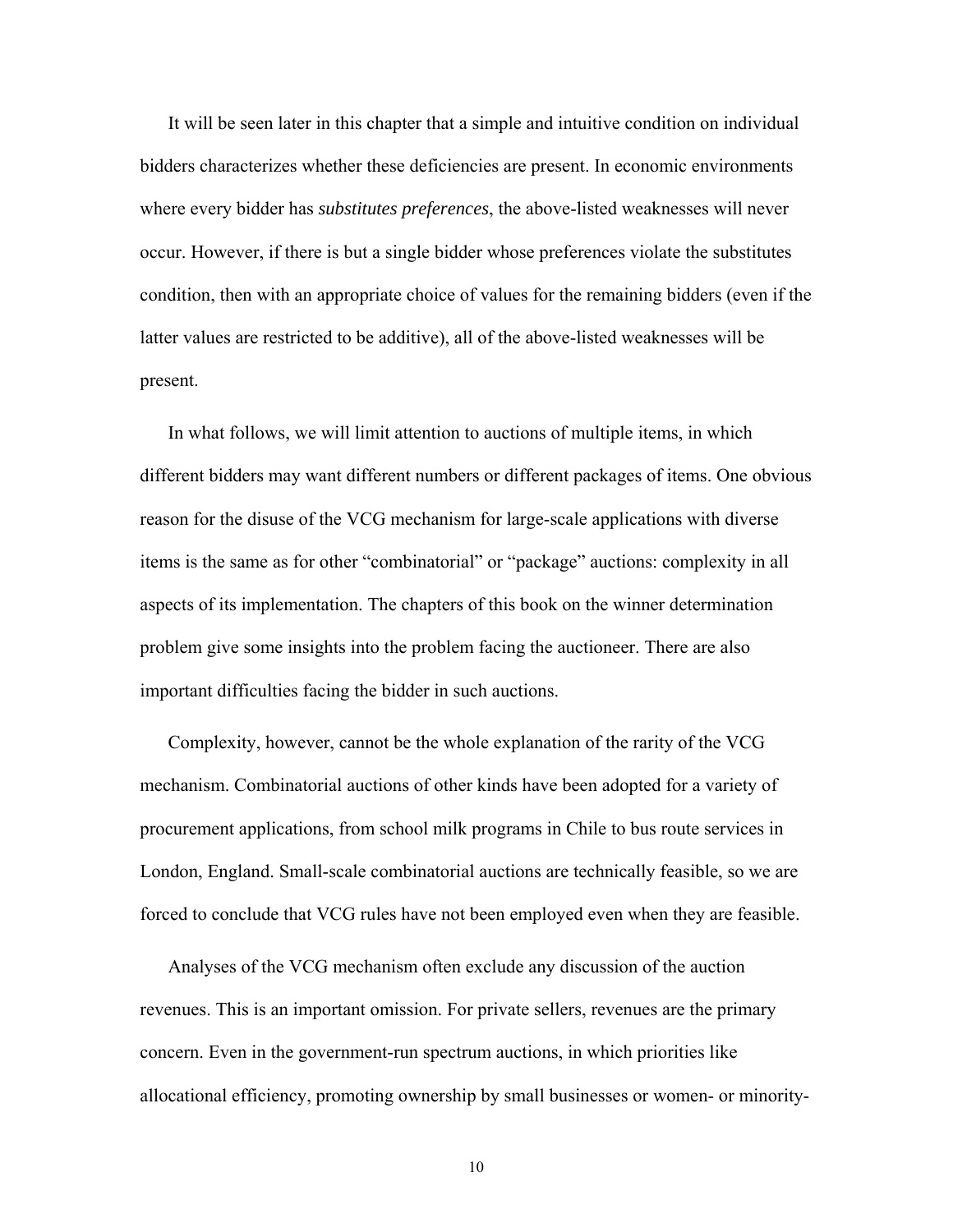It will be seen later in this chapter that a simple and intuitive condition on individual bidders characterizes whether these deficiencies are present. In economic environments where every bidder has *substitutes preferences*, the above-listed weaknesses will never occur. However, if there is but a single bidder whose preferences violate the substitutes condition, then with an appropriate choice of values for the remaining bidders (even if the latter values are restricted to be additive), all of the above-listed weaknesses will be present.

In what follows, we will limit attention to auctions of multiple items, in which different bidders may want different numbers or different packages of items. One obvious reason for the disuse of the VCG mechanism for large-scale applications with diverse items is the same as for other "combinatorial" or "package" auctions: complexity in all aspects of its implementation. The chapters of this book on the winner determination problem give some insights into the problem facing the auctioneer. There are also important difficulties facing the bidder in such auctions.

Complexity, however, cannot be the whole explanation of the rarity of the VCG mechanism. Combinatorial auctions of other kinds have been adopted for a variety of procurement applications, from school milk programs in Chile to bus route services in London, England. Small-scale combinatorial auctions are technically feasible, so we are forced to conclude that VCG rules have not been employed even when they are feasible.

Analyses of the VCG mechanism often exclude any discussion of the auction revenues. This is an important omission. For private sellers, revenues are the primary concern. Even in the government-run spectrum auctions, in which priorities like allocational efficiency, promoting ownership by small businesses or women- or minority-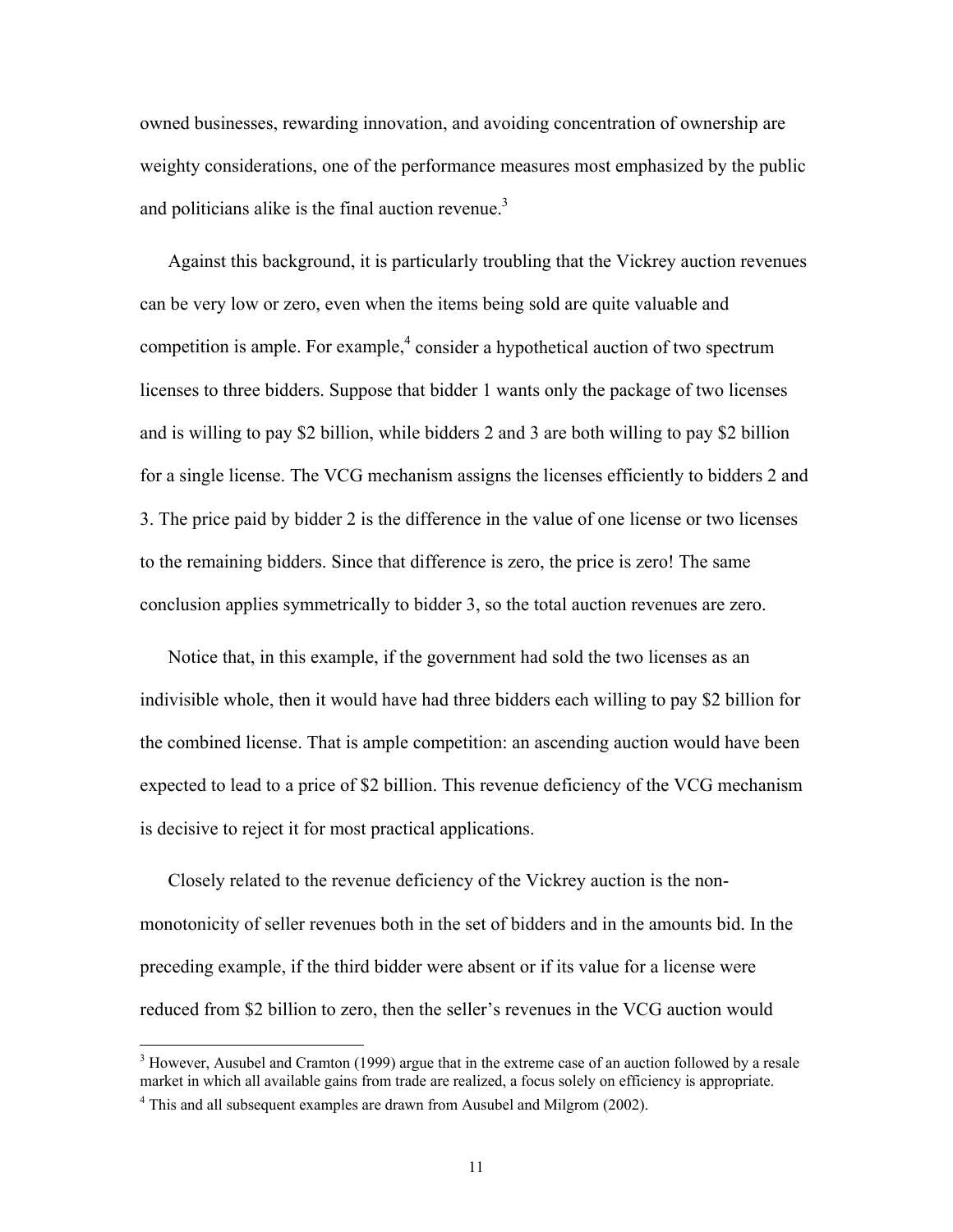owned businesses, rewarding innovation, and avoiding concentration of ownership are weighty considerations, one of the performance measures most emphasized by the public and politicians alike is the final auction revenue.<sup>3</sup>

Against this background, it is particularly troubling that the Vickrey auction revenues can be very low or zero, even when the items being sold are quite valuable and competition is ample. For example, $4$  consider a hypothetical auction of two spectrum licenses to three bidders. Suppose that bidder 1 wants only the package of two licenses and is willing to pay \$2 billion, while bidders 2 and 3 are both willing to pay \$2 billion for a single license. The VCG mechanism assigns the licenses efficiently to bidders 2 and 3. The price paid by bidder 2 is the difference in the value of one license or two licenses to the remaining bidders. Since that difference is zero, the price is zero! The same conclusion applies symmetrically to bidder 3, so the total auction revenues are zero.

Notice that, in this example, if the government had sold the two licenses as an indivisible whole, then it would have had three bidders each willing to pay \$2 billion for the combined license. That is ample competition: an ascending auction would have been expected to lead to a price of \$2 billion. This revenue deficiency of the VCG mechanism is decisive to reject it for most practical applications.

Closely related to the revenue deficiency of the Vickrey auction is the nonmonotonicity of seller revenues both in the set of bidders and in the amounts bid. In the preceding example, if the third bidder were absent or if its value for a license were reduced from \$2 billion to zero, then the seller's revenues in the VCG auction would

 $3$  However, Ausubel and Cramton (1999) argue that in the extreme case of an auction followed by a resale market in which all available gains from trade are realized, a focus solely on efficiency is appropriate.

<sup>&</sup>lt;sup>4</sup> This and all subsequent examples are drawn from Ausubel and Milgrom (2002).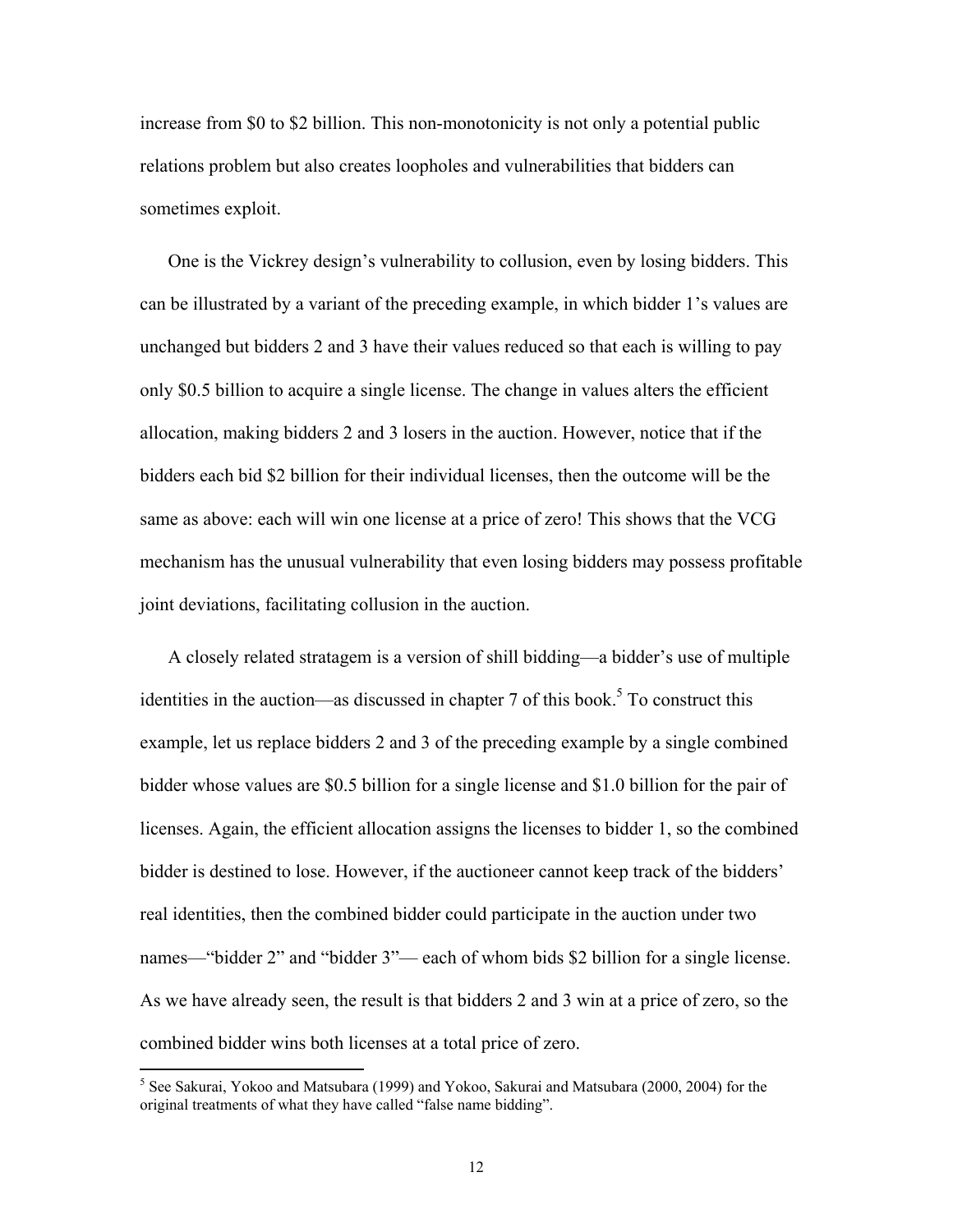increase from \$0 to \$2 billion. This non-monotonicity is not only a potential public relations problem but also creates loopholes and vulnerabilities that bidders can sometimes exploit.

One is the Vickrey design's vulnerability to collusion, even by losing bidders. This can be illustrated by a variant of the preceding example, in which bidder 1's values are unchanged but bidders 2 and 3 have their values reduced so that each is willing to pay only \$0.5 billion to acquire a single license. The change in values alters the efficient allocation, making bidders 2 and 3 losers in the auction. However, notice that if the bidders each bid \$2 billion for their individual licenses, then the outcome will be the same as above: each will win one license at a price of zero! This shows that the VCG mechanism has the unusual vulnerability that even losing bidders may possess profitable joint deviations, facilitating collusion in the auction.

A closely related stratagem is a version of shill bidding—a bidder's use of multiple identities in the auction—as discussed in chapter  $7$  of this book.<sup>5</sup> To construct this example, let us replace bidders 2 and 3 of the preceding example by a single combined bidder whose values are \$0.5 billion for a single license and \$1.0 billion for the pair of licenses. Again, the efficient allocation assigns the licenses to bidder 1, so the combined bidder is destined to lose. However, if the auctioneer cannot keep track of the bidders' real identities, then the combined bidder could participate in the auction under two names—"bidder 2" and "bidder 3"— each of whom bids \$2 billion for a single license. As we have already seen, the result is that bidders 2 and 3 win at a price of zero, so the combined bidder wins both licenses at a total price of zero.

<sup>&</sup>lt;sup>5</sup> See Sakurai, Yokoo and Matsubara (1999) and Yokoo, Sakurai and Matsubara (2000, 2004) for the original treatments of what they have called "false name bidding".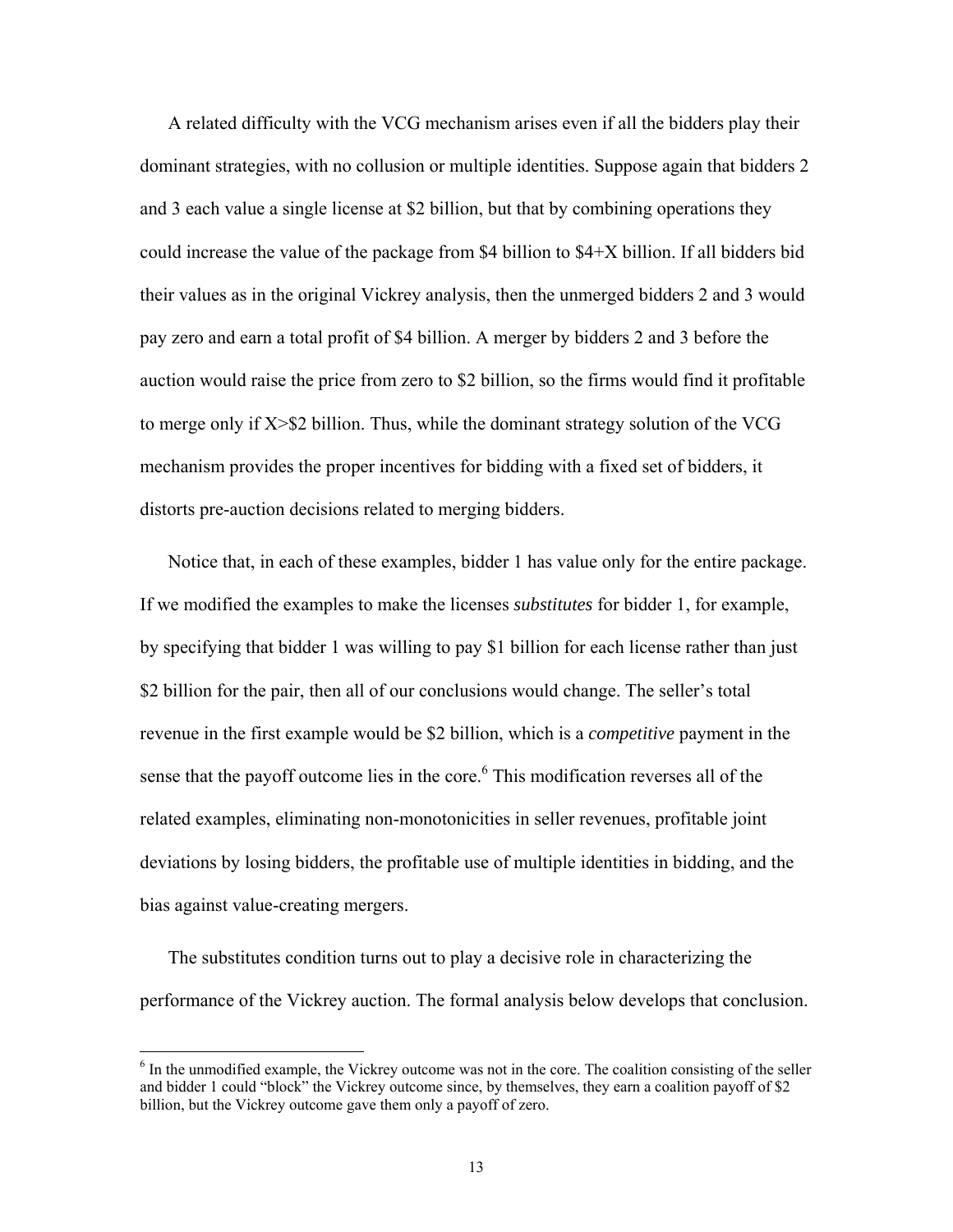A related difficulty with the VCG mechanism arises even if all the bidders play their dominant strategies, with no collusion or multiple identities. Suppose again that bidders 2 and 3 each value a single license at \$2 billion, but that by combining operations they could increase the value of the package from \$4 billion to \$4+X billion. If all bidders bid their values as in the original Vickrey analysis, then the unmerged bidders 2 and 3 would pay zero and earn a total profit of \$4 billion. A merger by bidders 2 and 3 before the auction would raise the price from zero to \$2 billion, so the firms would find it profitable to merge only if X>\$2 billion. Thus, while the dominant strategy solution of the VCG mechanism provides the proper incentives for bidding with a fixed set of bidders, it distorts pre-auction decisions related to merging bidders.

Notice that, in each of these examples, bidder 1 has value only for the entire package. If we modified the examples to make the licenses *substitutes* for bidder 1, for example, by specifying that bidder 1 was willing to pay \$1 billion for each license rather than just \$2 billion for the pair, then all of our conclusions would change. The seller's total revenue in the first example would be \$2 billion, which is a *competitive* payment in the sense that the payoff outcome lies in the core.<sup>6</sup> This modification reverses all of the related examples, eliminating non-monotonicities in seller revenues, profitable joint deviations by losing bidders, the profitable use of multiple identities in bidding, and the bias against value-creating mergers.

The substitutes condition turns out to play a decisive role in characterizing the performance of the Vickrey auction. The formal analysis below develops that conclusion.

<u>.</u>

<sup>&</sup>lt;sup>6</sup> In the unmodified example, the Vickrey outcome was not in the core. The coalition consisting of the seller and bidder 1 could "block" the Vickrey outcome since, by themselves, they earn a coalition payoff of \$2 billion, but the Vickrey outcome gave them only a payoff of zero.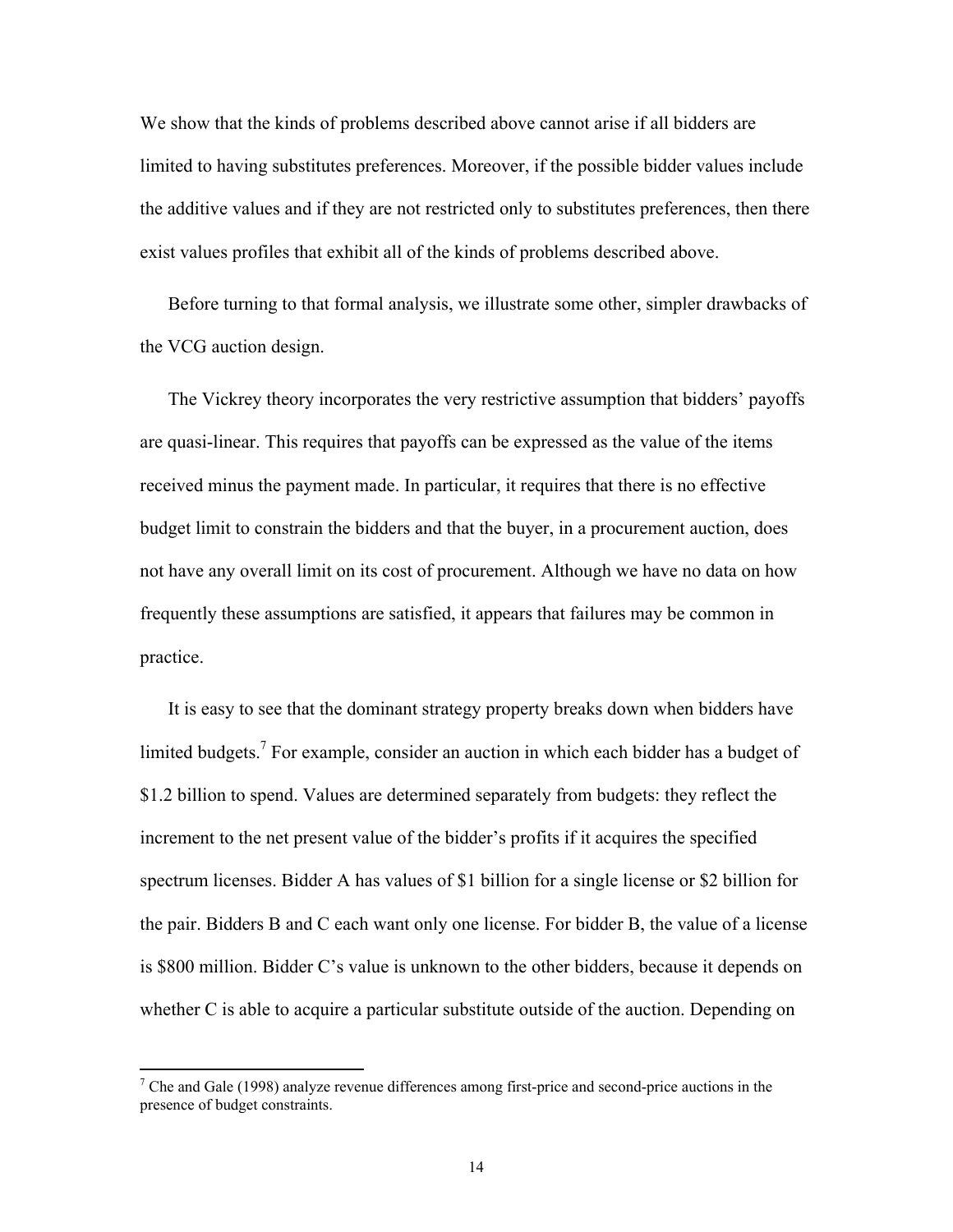We show that the kinds of problems described above cannot arise if all bidders are limited to having substitutes preferences. Moreover, if the possible bidder values include the additive values and if they are not restricted only to substitutes preferences, then there exist values profiles that exhibit all of the kinds of problems described above.

Before turning to that formal analysis, we illustrate some other, simpler drawbacks of the VCG auction design.

The Vickrey theory incorporates the very restrictive assumption that bidders' payoffs are quasi-linear. This requires that payoffs can be expressed as the value of the items received minus the payment made. In particular, it requires that there is no effective budget limit to constrain the bidders and that the buyer, in a procurement auction, does not have any overall limit on its cost of procurement. Although we have no data on how frequently these assumptions are satisfied, it appears that failures may be common in practice.

It is easy to see that the dominant strategy property breaks down when bidders have limited budgets.<sup>7</sup> For example, consider an auction in which each bidder has a budget of \$1.2 billion to spend. Values are determined separately from budgets: they reflect the increment to the net present value of the bidder's profits if it acquires the specified spectrum licenses. Bidder A has values of \$1 billion for a single license or \$2 billion for the pair. Bidders B and C each want only one license. For bidder B, the value of a license is \$800 million. Bidder C's value is unknown to the other bidders, because it depends on whether C is able to acquire a particular substitute outside of the auction. Depending on

 $<sup>7</sup>$  Che and Gale (1998) analyze revenue differences among first-price and second-price auctions in the</sup> presence of budget constraints.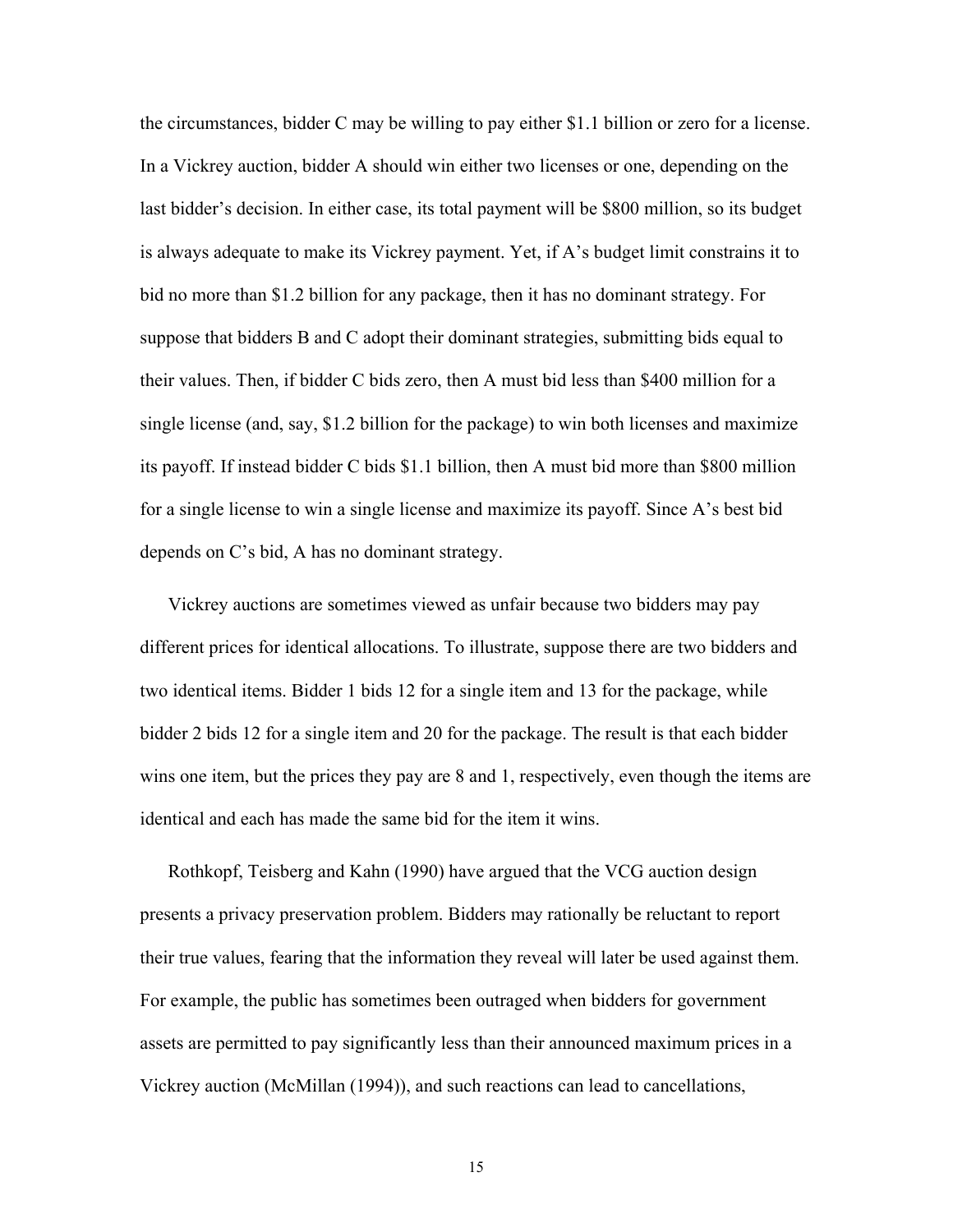the circumstances, bidder C may be willing to pay either \$1.1 billion or zero for a license. In a Vickrey auction, bidder A should win either two licenses or one, depending on the last bidder's decision. In either case, its total payment will be \$800 million, so its budget is always adequate to make its Vickrey payment. Yet, if A's budget limit constrains it to bid no more than \$1.2 billion for any package, then it has no dominant strategy. For suppose that bidders B and C adopt their dominant strategies, submitting bids equal to their values. Then, if bidder C bids zero, then A must bid less than \$400 million for a single license (and, say, \$1.2 billion for the package) to win both licenses and maximize its payoff. If instead bidder C bids \$1.1 billion, then A must bid more than \$800 million for a single license to win a single license and maximize its payoff. Since A's best bid depends on C's bid, A has no dominant strategy.

Vickrey auctions are sometimes viewed as unfair because two bidders may pay different prices for identical allocations. To illustrate, suppose there are two bidders and two identical items. Bidder 1 bids 12 for a single item and 13 for the package, while bidder 2 bids 12 for a single item and 20 for the package. The result is that each bidder wins one item, but the prices they pay are 8 and 1, respectively, even though the items are identical and each has made the same bid for the item it wins.

Rothkopf, Teisberg and Kahn (1990) have argued that the VCG auction design presents a privacy preservation problem. Bidders may rationally be reluctant to report their true values, fearing that the information they reveal will later be used against them. For example, the public has sometimes been outraged when bidders for government assets are permitted to pay significantly less than their announced maximum prices in a Vickrey auction (McMillan (1994)), and such reactions can lead to cancellations,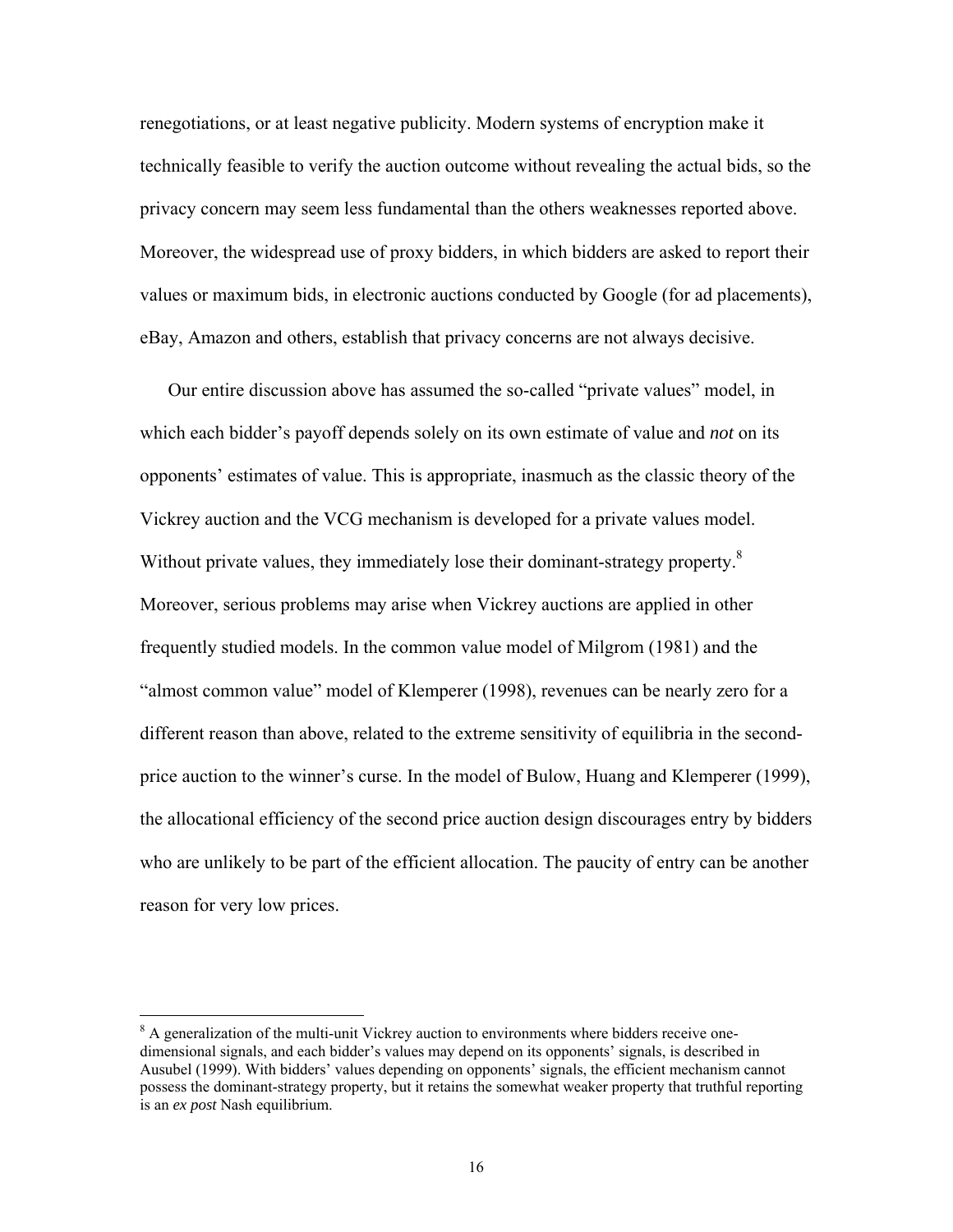renegotiations, or at least negative publicity. Modern systems of encryption make it technically feasible to verify the auction outcome without revealing the actual bids, so the privacy concern may seem less fundamental than the others weaknesses reported above. Moreover, the widespread use of proxy bidders, in which bidders are asked to report their values or maximum bids, in electronic auctions conducted by Google (for ad placements), eBay, Amazon and others, establish that privacy concerns are not always decisive.

Our entire discussion above has assumed the so-called "private values" model, in which each bidder's payoff depends solely on its own estimate of value and *not* on its opponents' estimates of value. This is appropriate, inasmuch as the classic theory of the Vickrey auction and the VCG mechanism is developed for a private values model. Without private values, they immediately lose their dominant-strategy property.<sup>8</sup> Moreover, serious problems may arise when Vickrey auctions are applied in other frequently studied models. In the common value model of Milgrom (1981) and the "almost common value" model of Klemperer (1998), revenues can be nearly zero for a different reason than above, related to the extreme sensitivity of equilibria in the secondprice auction to the winner's curse. In the model of Bulow, Huang and Klemperer (1999), the allocational efficiency of the second price auction design discourages entry by bidders who are unlikely to be part of the efficient allocation. The paucity of entry can be another reason for very low prices.

 $\overline{a}$ 

 $8$  A generalization of the multi-unit Vickrey auction to environments where bidders receive onedimensional signals, and each bidder's values may depend on its opponents' signals, is described in Ausubel (1999). With bidders' values depending on opponents' signals, the efficient mechanism cannot possess the dominant-strategy property, but it retains the somewhat weaker property that truthful reporting is an *ex post* Nash equilibrium.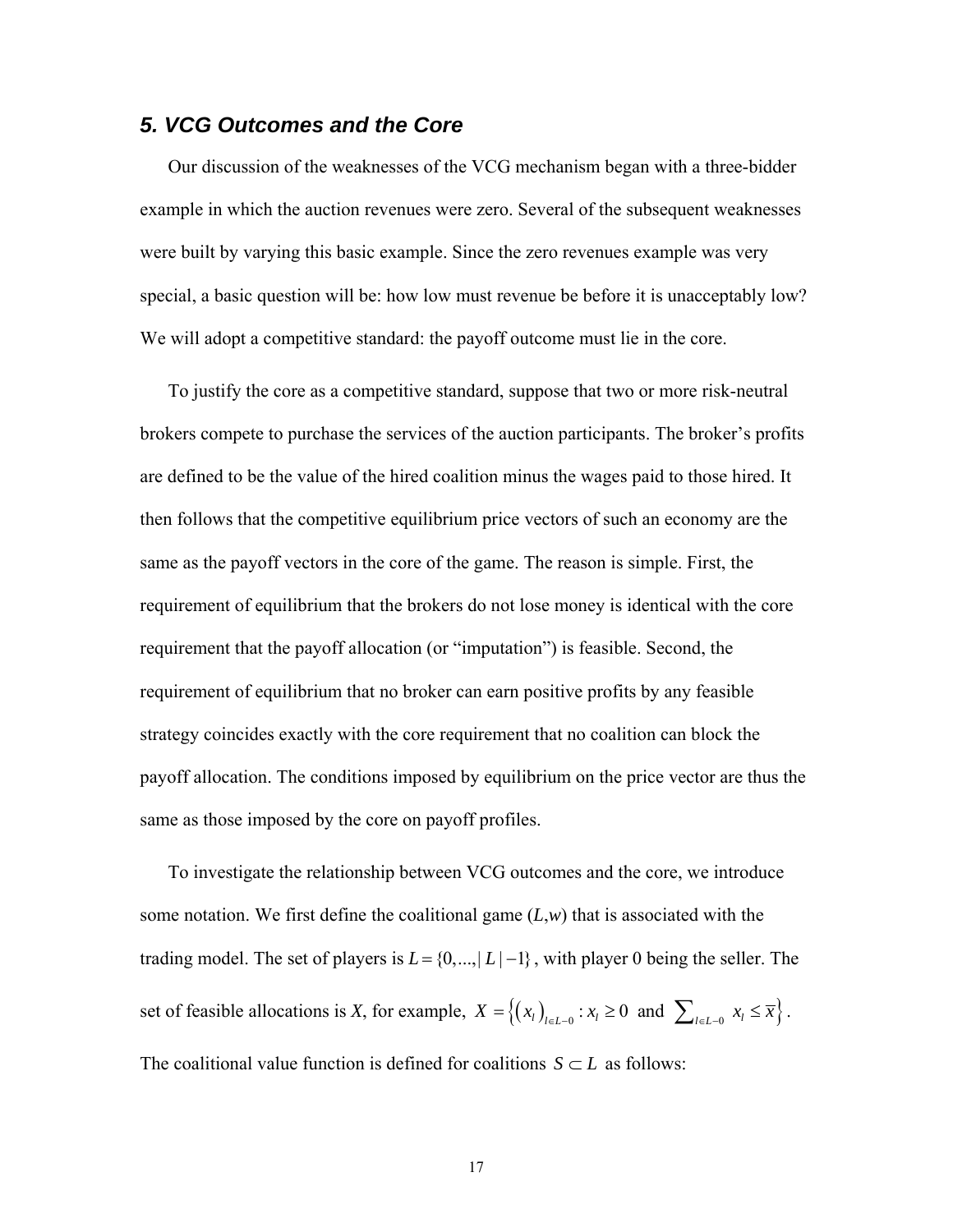### *5. VCG Outcomes and the Core*

Our discussion of the weaknesses of the VCG mechanism began with a three-bidder example in which the auction revenues were zero. Several of the subsequent weaknesses were built by varying this basic example. Since the zero revenues example was very special, a basic question will be: how low must revenue be before it is unacceptably low? We will adopt a competitive standard: the payoff outcome must lie in the core.

To justify the core as a competitive standard, suppose that two or more risk-neutral brokers compete to purchase the services of the auction participants. The broker's profits are defined to be the value of the hired coalition minus the wages paid to those hired. It then follows that the competitive equilibrium price vectors of such an economy are the same as the payoff vectors in the core of the game. The reason is simple. First, the requirement of equilibrium that the brokers do not lose money is identical with the core requirement that the payoff allocation (or "imputation") is feasible. Second, the requirement of equilibrium that no broker can earn positive profits by any feasible strategy coincides exactly with the core requirement that no coalition can block the payoff allocation. The conditions imposed by equilibrium on the price vector are thus the same as those imposed by the core on payoff profiles.

To investigate the relationship between VCG outcomes and the core, we introduce some notation. We first define the coalitional game (*L*,*w*) that is associated with the trading model. The set of players is  $L = \{0, ..., |L| - 1\}$ , with player 0 being the seller. The set of feasible allocations is *X*, for example,  $X = \{(x_i)_{i \in L} \neq 0 \text{ and } \sum_{i \in I} x_i \leq \overline{x}\}.$ The coalitional value function is defined for coalitions  $S \subset L$  as follows: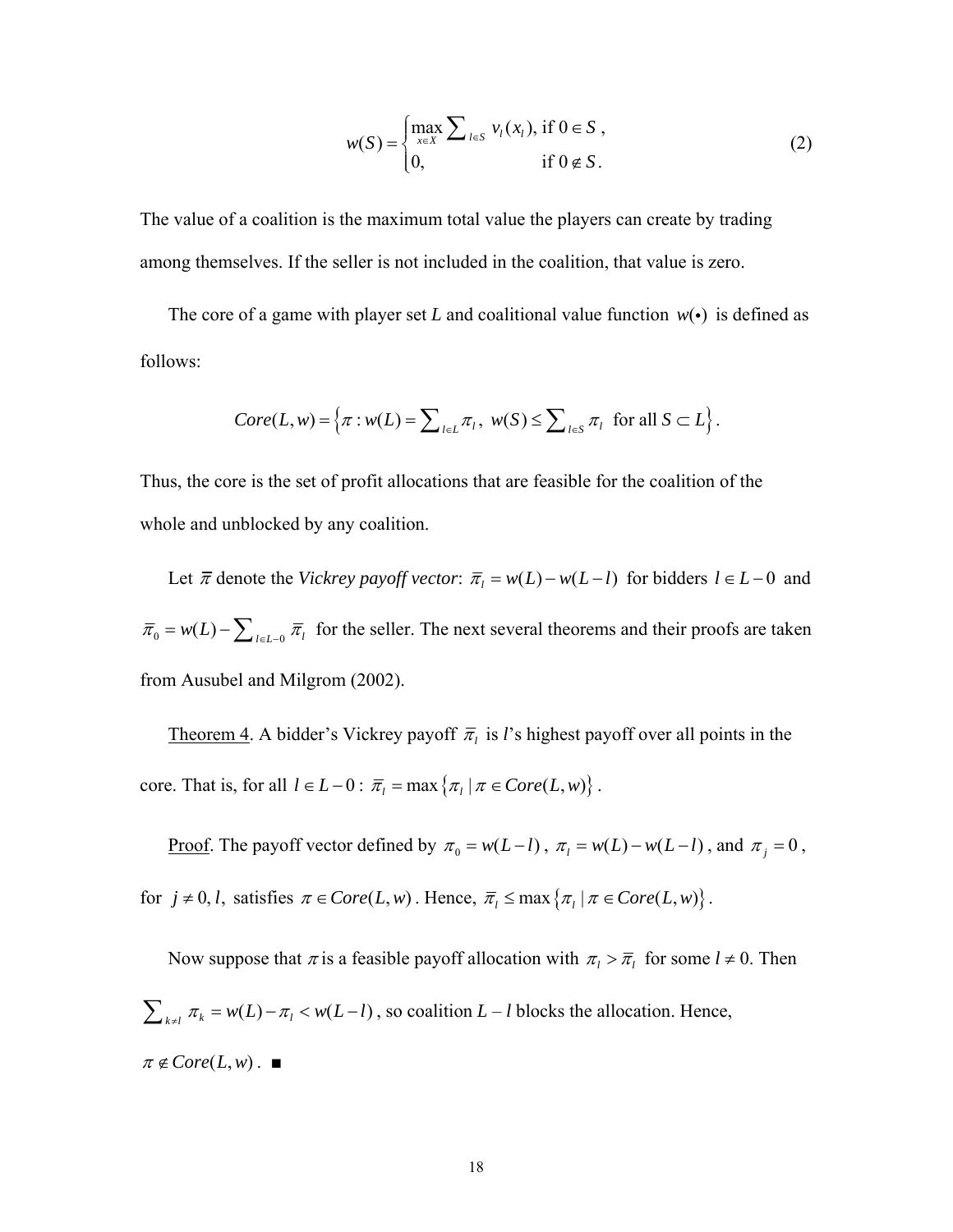$$
w(S) = \begin{cases} \max_{x \in X} \sum_{l \in S} v_l(x_l), \text{ if } 0 \in S, \\ 0, \text{ if } 0 \notin S. \end{cases}
$$
 (2)

The value of a coalition is the maximum total value the players can create by trading among themselves. If the seller is not included in the coalition, that value is zero.

The core of a game with player set *L* and coalitional value function  $w(\cdot)$  is defined as follows:

$$
Core(L,w) = \left\{ \pi : w(L) = \sum_{l \in L} \pi_l, \ w(S) \le \sum_{l \in S} \pi_l \text{ for all } S \subset L \right\}.
$$

Thus, the core is the set of profit allocations that are feasible for the coalition of the whole and unblocked by any coalition.

Let  $\bar{\pi}$  denote the *Vickrey payoff vector*:  $\bar{\pi}_l = w(L) - w(L - l)$  for bidders  $l \in L - 0$  and  $\overline{\pi}_0 = w(L) - \sum_{l \in L} \overline{\pi}_l$  for the seller. The next several theorems and their proofs are taken from Ausubel and Milgrom (2002).

Theorem 4. A bidder's Vickrey payoff  $\bar{\pi}_l$  is *l*'s highest payoff over all points in the core. That is, for all  $l \in L-0$ :  $\overline{\pi}_l = \max \{ \pi_l | \pi \in Core(L, w) \}$ .

<u>Proof</u>. The payoff vector defined by  $\pi_0 = w(L - l)$ ,  $\pi_l = w(L) - w(L - l)$ , and  $\pi_j = 0$ , for  $j \neq 0, l$ , satisfies  $\pi \in Core(L, w)$ . Hence,  $\overline{\pi}_{l} \leq \max \{ \pi_{l} | \pi \in Core(L, w) \}.$ 

Now suppose that  $\pi$  is a feasible payoff allocation with  $\pi_l > \overline{\pi}_l$  for some  $l \neq 0$ . Then  $\sum_{k \neq l} \pi_k = w(L) - \pi_l < w(L-l)$ , so coalition  $L-l$  blocks the allocation. Hence,  $\pi \notin Core(L, w)$ .  $\blacksquare$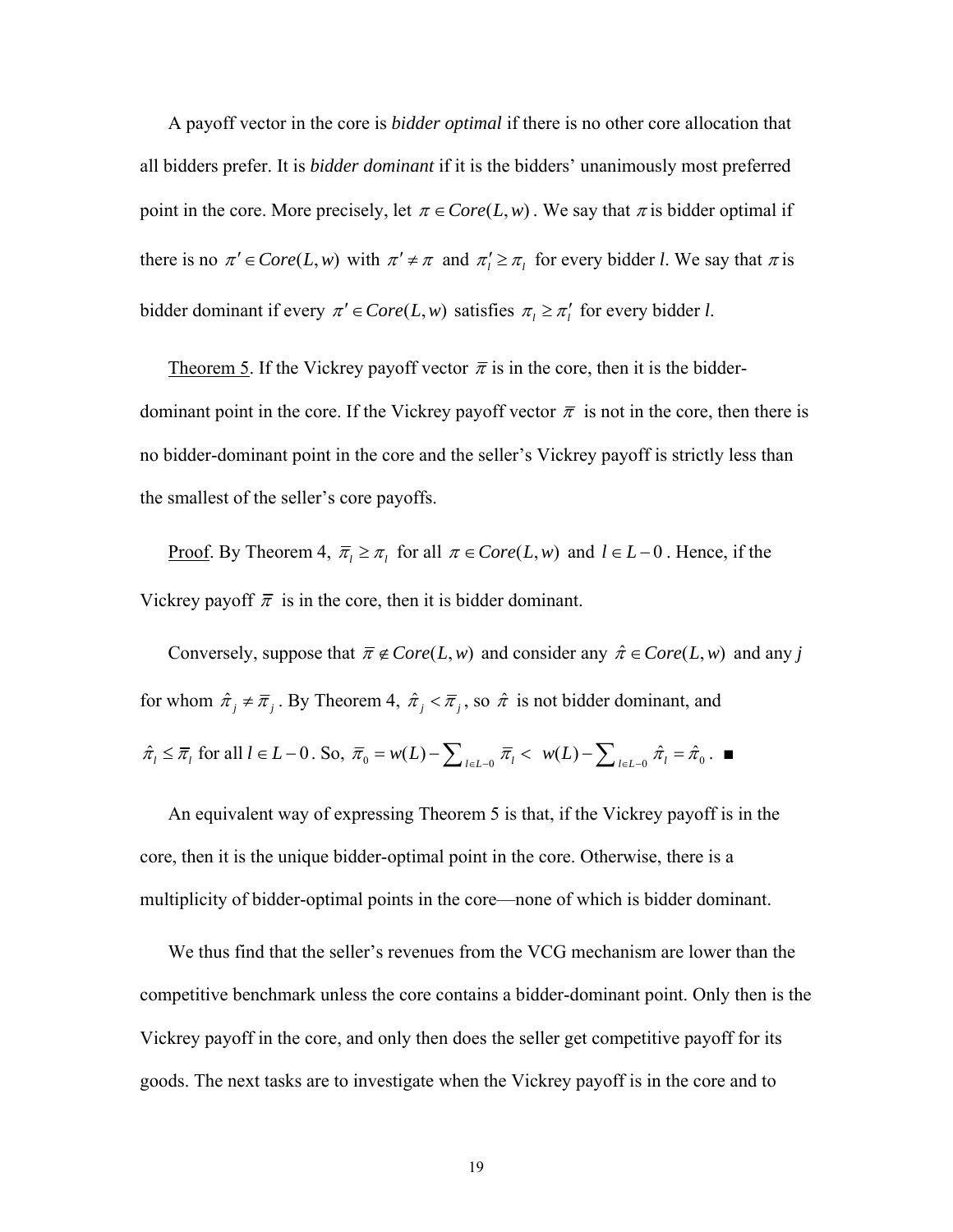A payoff vector in the core is *bidder optimal* if there is no other core allocation that all bidders prefer. It is *bidder dominant* if it is the bidders' unanimously most preferred point in the core. More precisely, let  $\pi \in Core(L, w)$ . We say that  $\pi$  is bidder optimal if there is no  $\pi' \in Core(L, w)$  with  $\pi' \neq \pi$  and  $\pi' \geq \pi$  for every bidder *l*. We say that  $\pi$  is bidder dominant if every  $\pi' \in Core(L, w)$  satisfies  $\pi_l \geq \pi'_l$  for every bidder *l*.

Theorem 5. If the Vickrey payoff vector  $\bar{\pi}$  is in the core, then it is the bidderdominant point in the core. If the Vickrey payoff vector  $\bar{\pi}$  is not in the core, then there is no bidder-dominant point in the core and the seller's Vickrey payoff is strictly less than the smallest of the seller's core payoffs.

<u>Proof</u>. By Theorem 4,  $\overline{\pi}_l \geq \pi_l$  for all  $\pi \in Core(L, w)$  and  $l \in L-0$ . Hence, if the Vickrey payoff  $\bar{\pi}$  is in the core, then it is bidder dominant.

Conversely, suppose that  $\overline{\pi} \notin Core(L, w)$  and consider any  $\hat{\pi} \in Core(L, w)$  and any *j* for whom  $\hat{\pi}_i \neq \overline{\pi}_i$ . By Theorem 4,  $\hat{\pi}_i < \overline{\pi}_i$ , so  $\hat{\pi}$  is not bidder dominant, and  $\hat{\pi}_l$  ≤  $\overline{\pi}_l$  for all *l* ∈ *L* − 0. So,  $\overline{\pi}_0 = w(L) - \sum_{l \in L-0} \overline{\pi}_l$  <  $w(L) - \sum_{l \in L-0} \hat{\pi}_l = \hat{\pi}_0$ . ■

An equivalent way of expressing Theorem 5 is that, if the Vickrey payoff is in the core, then it is the unique bidder-optimal point in the core. Otherwise, there is a multiplicity of bidder-optimal points in the core—none of which is bidder dominant.

We thus find that the seller's revenues from the VCG mechanism are lower than the competitive benchmark unless the core contains a bidder-dominant point. Only then is the Vickrey payoff in the core, and only then does the seller get competitive payoff for its goods. The next tasks are to investigate when the Vickrey payoff is in the core and to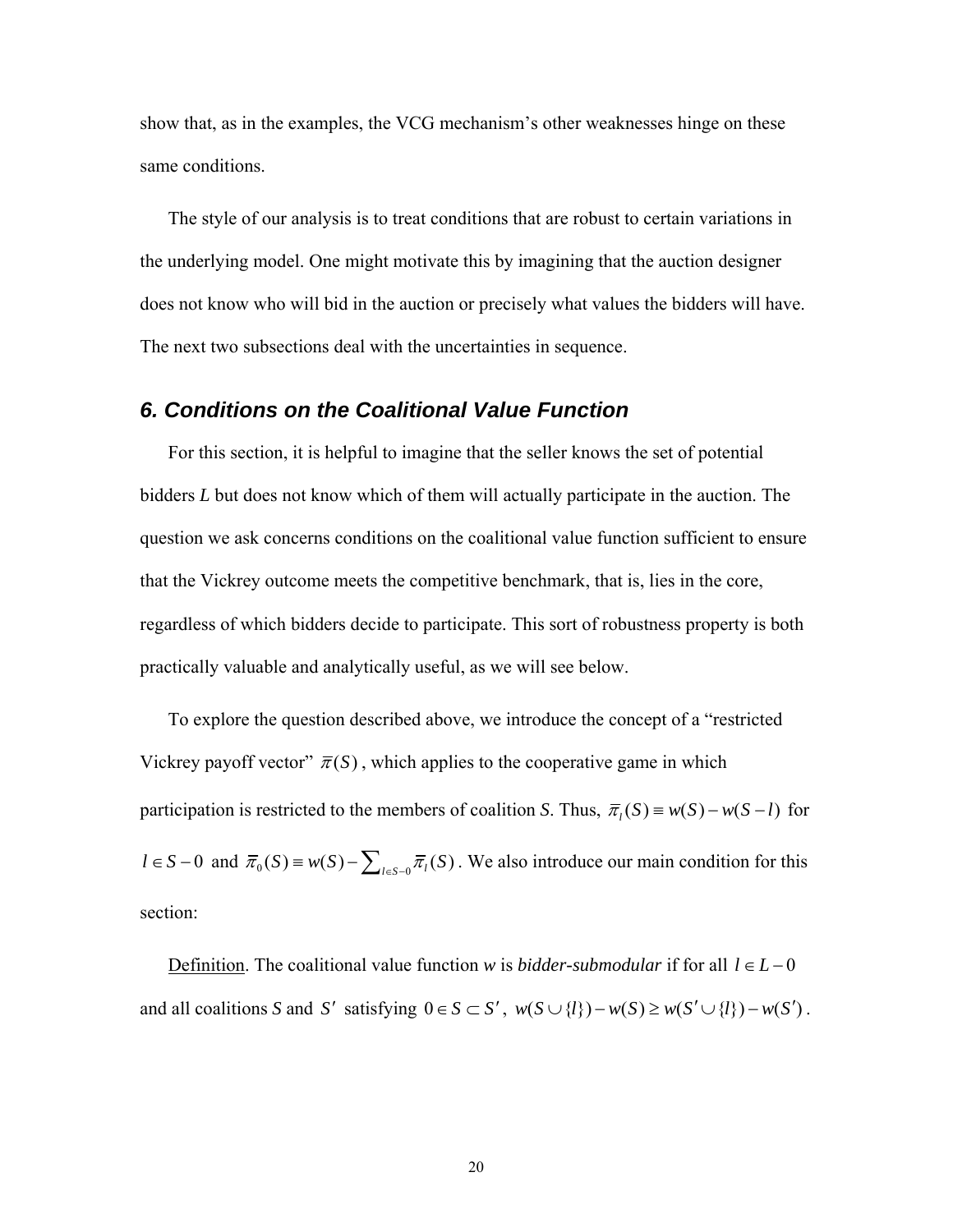show that, as in the examples, the VCG mechanism's other weaknesses hinge on these same conditions.

The style of our analysis is to treat conditions that are robust to certain variations in the underlying model. One might motivate this by imagining that the auction designer does not know who will bid in the auction or precisely what values the bidders will have. The next two subsections deal with the uncertainties in sequence.

#### *6. Conditions on the Coalitional Value Function*

For this section, it is helpful to imagine that the seller knows the set of potential bidders *L* but does not know which of them will actually participate in the auction. The question we ask concerns conditions on the coalitional value function sufficient to ensure that the Vickrey outcome meets the competitive benchmark, that is, lies in the core, regardless of which bidders decide to participate. This sort of robustness property is both practically valuable and analytically useful, as we will see below.

To explore the question described above, we introduce the concept of a "restricted Vickrey payoff vector<sup>"</sup>  $\overline{\pi}(S)$ , which applies to the cooperative game in which participation is restricted to the members of coalition *S*. Thus,  $\overline{\pi}_i(S) = w(S) - w(S - l)$  for *l* ∈ *S* − 0 and  $\overline{\pi}_0$  (*S*) =  $w(S) - \sum_{l \in S} \overline{\pi}_l$  (*S*). We also introduce our main condition for this section:

Definition. The coalitional value function *w* is *bidder-submodular* if for all  $l \in L - 0$ and all coalitions *S* and *S'* satisfying  $0 \in S \subset S'$ ,  $w(S \cup \{l\}) - w(S) \ge w(S' \cup \{l\}) - w(S')$ .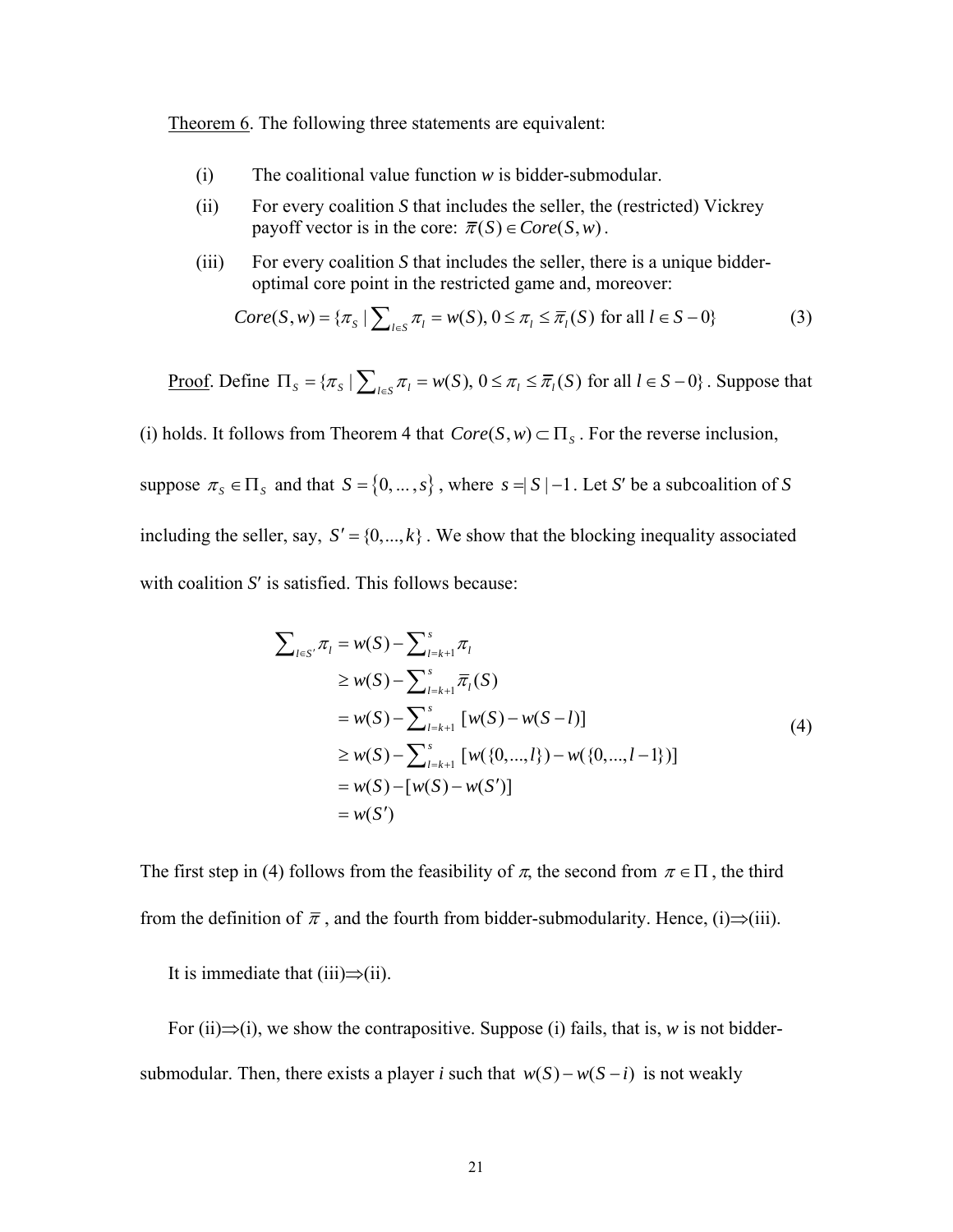Theorem 6. The following three statements are equivalent:

- (i) The coalitional value function *w* is bidder-submodular.
- (ii) For every coalition *S* that includes the seller, the (restricted) Vickrey payoff vector is in the core:  $\overline{\pi}(S) \in Core(S, w)$ .
- (iii) For every coalition *S* that includes the seller, there is a unique bidderoptimal core point in the restricted game and, moreover:

$$
Core(S,w) = \{\pi_S \mid \sum_{l \in S} \pi_l = w(S), 0 \le \pi_l \le \overline{\pi}_l(S) \text{ for all } l \in S - 0\}
$$
 (3)

<u>Proof</u>. Define  $\Pi_s = \{\pi_s \mid \sum_{l \in S} \pi_l = w(S), 0 \le \pi_l \le \overline{\pi}_l(S) \text{ for all } l \in S - 0\}$ . Suppose that

(i) holds. It follows from Theorem 4 that  $Core(S, w) \subset \Pi_S$ . For the reverse inclusion, suppose  $\pi_s \in \Pi_s$  and that  $S = \{0, ..., s\}$ , where  $s = |S| - 1$ . Let *S'* be a subcoalition of *S* including the seller, say,  $S' = \{0, ..., k\}$ . We show that the blocking inequality associated with coalition *S'* is satisfied. This follows because:

$$
\sum_{l \in S'} \pi_l = w(S) - \sum_{l=k+1}^{s} \pi_l
$$
\n
$$
\geq w(S) - \sum_{l=k+1}^{s} \overline{\pi}_l(S)
$$
\n
$$
= w(S) - \sum_{l=k+1}^{s} [w(S) - w(S - l)]
$$
\n
$$
\geq w(S) - \sum_{l=k+1}^{s} [w({0, \ldots, l}) - w({0, \ldots, l-1})]
$$
\n
$$
= w(S) - [w(S) - w(S')]
$$
\n
$$
= w(S')
$$
\n(4)

The first step in (4) follows from the feasibility of  $\pi$ , the second from  $\pi \in \Pi$ , the third from the definition of  $\bar{\pi}$ , and the fourth from bidder-submodularity. Hence, (i)⇒(iii).

It is immediate that (iii) $\Rightarrow$ (ii).

For (ii)⇒(i), we show the contrapositive. Suppose (i) fails, that is, *w* is not biddersubmodular. Then, there exists a player *i* such that  $w(S) - w(S - i)$  is not weakly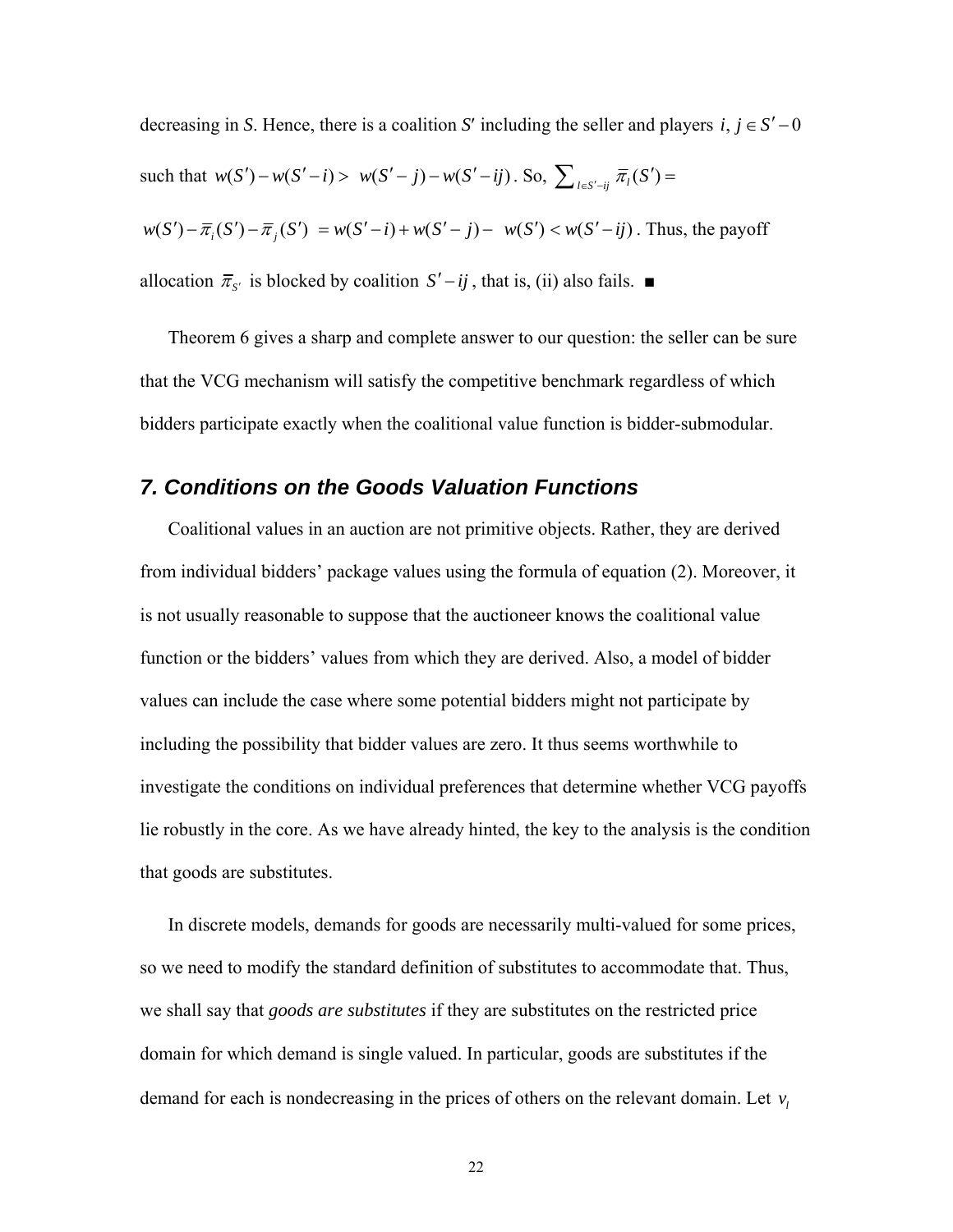decreasing in *S*. Hence, there is a coalition *S'* including the seller and players *i*,  $j \in S' - 0$ such that  $w(S') - w(S' - i) > w(S' - j) - w(S' - ij)$ . So,  $\sum_{l \in S' - ij} \overline{\pi}_l(S') =$  $w(S') - \overline{\pi}_i(S') - \overline{\pi}_i(S') = w(S'-i) + w(S'-j) - w(S') < w(S'-ij)$ . Thus, the payoff allocation  $\bar{\pi}_{s'}$  is blocked by coalition  $S'-ij$ , that is, (ii) also fails. ■

Theorem 6 gives a sharp and complete answer to our question: the seller can be sure that the VCG mechanism will satisfy the competitive benchmark regardless of which bidders participate exactly when the coalitional value function is bidder-submodular.

#### *7. Conditions on the Goods Valuation Functions*

Coalitional values in an auction are not primitive objects. Rather, they are derived from individual bidders' package values using the formula of equation (2). Moreover, it is not usually reasonable to suppose that the auctioneer knows the coalitional value function or the bidders' values from which they are derived. Also, a model of bidder values can include the case where some potential bidders might not participate by including the possibility that bidder values are zero. It thus seems worthwhile to investigate the conditions on individual preferences that determine whether VCG payoffs lie robustly in the core. As we have already hinted, the key to the analysis is the condition that goods are substitutes.

In discrete models, demands for goods are necessarily multi-valued for some prices, so we need to modify the standard definition of substitutes to accommodate that. Thus, we shall say that *goods are substitutes* if they are substitutes on the restricted price domain for which demand is single valued. In particular, goods are substitutes if the demand for each is nondecreasing in the prices of others on the relevant domain. Let  $v_i$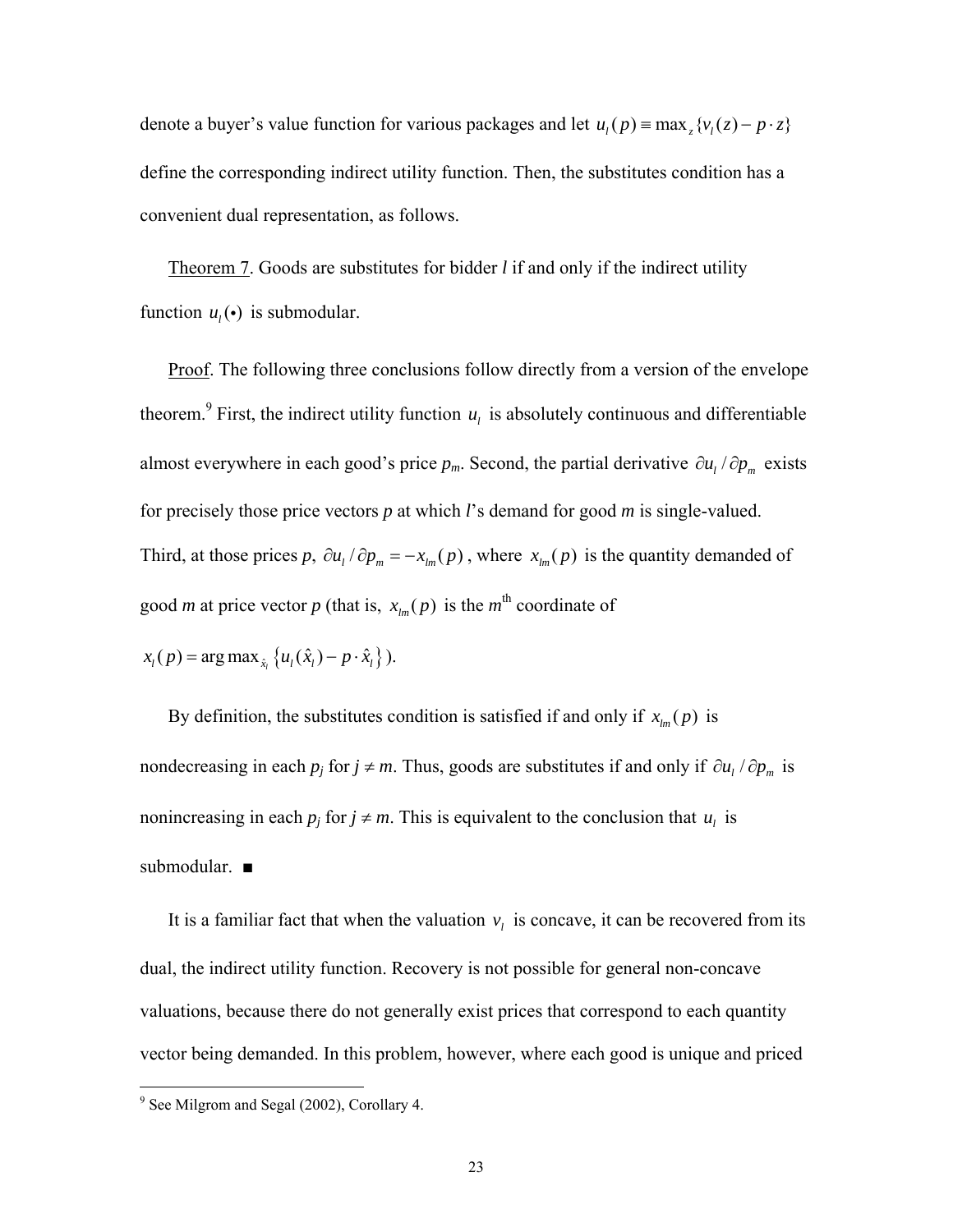denote a buyer's value function for various packages and let  $u_1(p) = \max_{z} {v_1(z) - p \cdot z}$ define the corresponding indirect utility function. Then, the substitutes condition has a convenient dual representation, as follows.

Theorem 7. Goods are substitutes for bidder *l* if and only if the indirect utility function  $u_i(\cdot)$  is submodular.

Proof. The following three conclusions follow directly from a version of the envelope theorem.<sup>9</sup> First, the indirect utility function  $u_i$  is absolutely continuous and differentiable almost everywhere in each good's price  $p_m$ . Second, the partial derivative  $\partial u_l / \partial p_m$  exists for precisely those price vectors *p* at which *l*'s demand for good *m* is single-valued. Third, at those prices p,  $\partial u_l / \partial p_m = -x_{lm}(p)$ , where  $x_{lm}(p)$  is the quantity demanded of good *m* at price vector *p* (that is,  $x_{lm}(p)$  is the *m*<sup>th</sup> coordinate of

$$
x_{l}(p) = \arg \max_{\hat{x}_{l}} \{u_{l}(\hat{x}_{l}) - p \cdot \hat{x}_{l}\}.
$$

By definition, the substitutes condition is satisfied if and only if  $x_{lm}(p)$  is nondecreasing in each  $p_j$  for  $j \neq m$ . Thus, goods are substitutes if and only if  $\partial u_i / \partial p_m$  is nonincreasing in each  $p_j$  for  $j \neq m$ . This is equivalent to the conclusion that  $u_i$  is submodular. ■

It is a familiar fact that when the valuation  $v_i$  is concave, it can be recovered from its dual, the indirect utility function. Recovery is not possible for general non-concave valuations, because there do not generally exist prices that correspond to each quantity vector being demanded. In this problem, however, where each good is unique and priced

<sup>&</sup>lt;sup>9</sup> See Milgrom and Segal (2002), Corollary 4.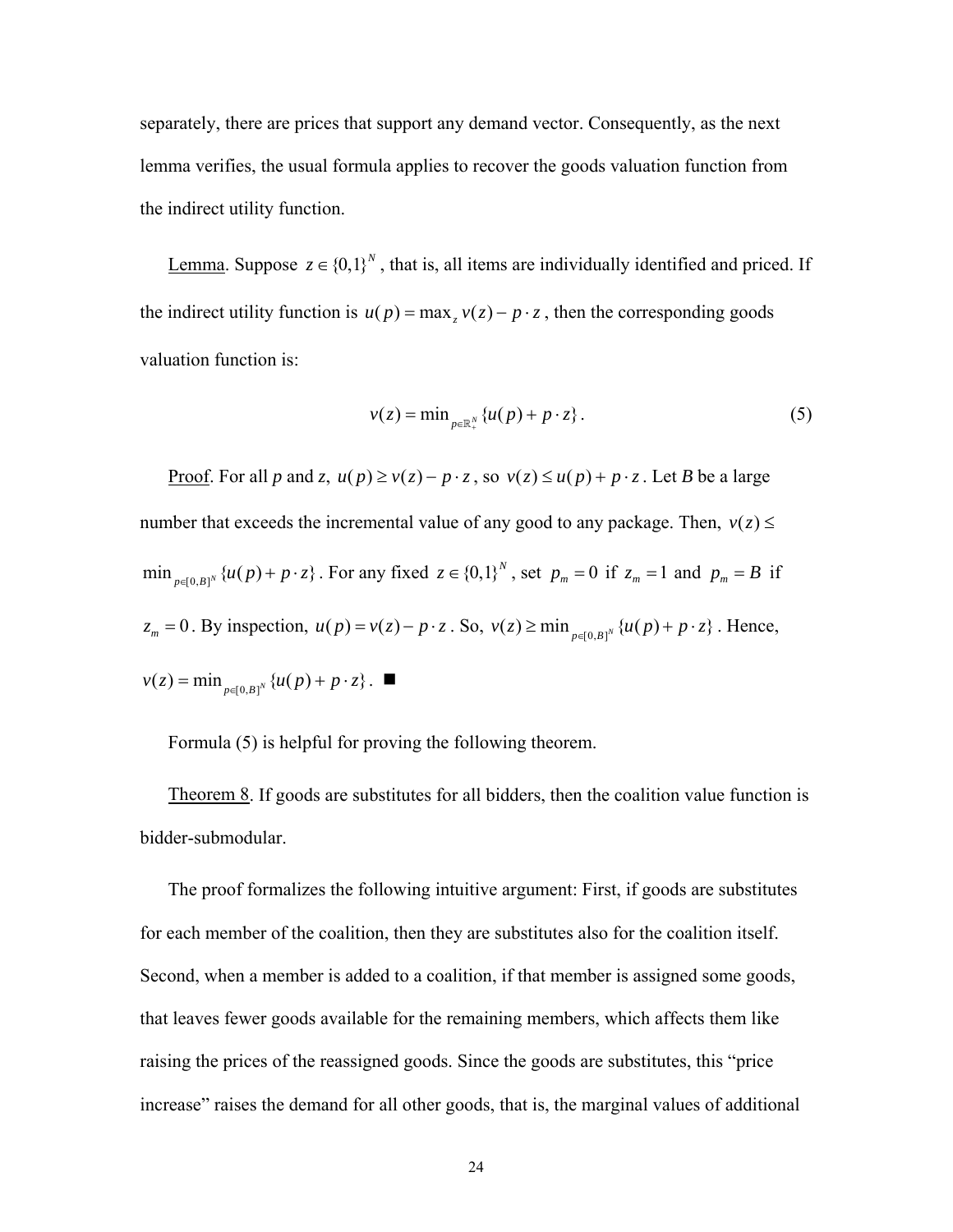separately, there are prices that support any demand vector. Consequently, as the next lemma verifies, the usual formula applies to recover the goods valuation function from the indirect utility function.

Lemma. Suppose  $z \in \{0,1\}^N$ , that is, all items are individually identified and priced. If the indirect utility function is  $u(p) = \max_{y \in \mathcal{D}} v(z) - p \cdot z$ , then the corresponding goods valuation function is:

$$
v(z) = \min_{p \in \mathbb{R}_+^N} \{ u(p) + p \cdot z \}.
$$
 (5)

Proof. For all p and z,  $u(p) \ge v(z) - p \cdot z$ , so  $v(z) \le u(p) + p \cdot z$ . Let *B* be a large number that exceeds the incremental value of any good to any package. Then,  $v(z) \leq$  $\min_{p \in [0, B]^N} \{ u(p) + p \cdot z \}$ . For any fixed  $z \in \{0,1\}^N$ , set  $p_m = 0$  if  $z_m = 1$  and  $p_m = B$  if  $z_m = 0$ . By inspection,  $u(p) = v(z) - p \cdot z$ . So,  $v(z) \ge \min_{p \in [0, B]^N} \{u(p) + p \cdot z\}$ . Hence,  $v(z) = \min_{p \in [0, B]^N} \{ u(p) + p \cdot z \}.$ 

Formula (5) is helpful for proving the following theorem.

Theorem 8. If goods are substitutes for all bidders, then the coalition value function is bidder-submodular.

The proof formalizes the following intuitive argument: First, if goods are substitutes for each member of the coalition, then they are substitutes also for the coalition itself. Second, when a member is added to a coalition, if that member is assigned some goods, that leaves fewer goods available for the remaining members, which affects them like raising the prices of the reassigned goods. Since the goods are substitutes, this "price increase" raises the demand for all other goods, that is, the marginal values of additional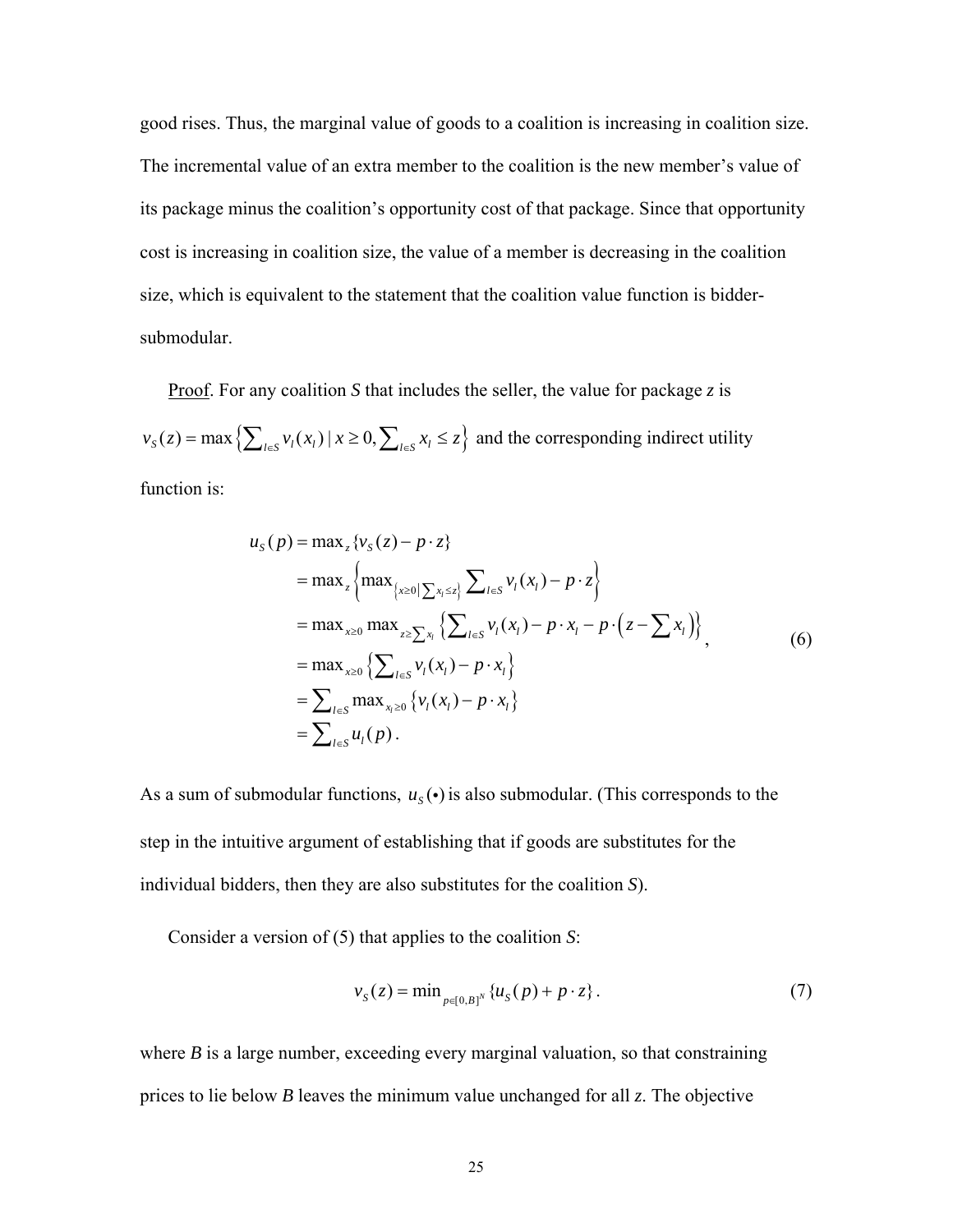good rises. Thus, the marginal value of goods to a coalition is increasing in coalition size. The incremental value of an extra member to the coalition is the new member's value of its package minus the coalition's opportunity cost of that package. Since that opportunity cost is increasing in coalition size, the value of a member is decreasing in the coalition size, which is equivalent to the statement that the coalition value function is biddersubmodular.

Proof. For any coalition *S* that includes the seller, the value for package *z* is  $v_s(z) = \max \left\{ \sum_{i \in S} v_i(x_i) \mid x \ge 0, \sum_{i \in S} x_i \le z \right\}$  and the corresponding indirect utility function is:

$$
u_{S}(p) = \max_{z} \{v_{S}(z) - p \cdot z\}
$$
  
\n
$$
= \max_{z} \left\{ \max_{\{x \ge 0 | \sum x_{i} \le z\}} \sum_{l \in S} v_{l}(x_{l}) - p \cdot z \right\}
$$
  
\n
$$
= \max_{x \ge 0} \max_{z \ge 0} \max_{z \ge \sum x_{i}} \left\{ \sum_{l \in S} v_{l}(x_{l}) - p \cdot x_{l} - p \cdot (z - \sum x_{l}) \right\}
$$
  
\n
$$
= \max_{x \ge 0} \left\{ \sum_{l \in S} v_{l}(x_{l}) - p \cdot x_{l} \right\}
$$
  
\n
$$
= \sum_{l \in S} \max_{x_{l} \ge 0} \left\{ v_{l}(x_{l}) - p \cdot x_{l} \right\}
$$
  
\n
$$
= \sum_{l \in S} u_{l}(p).
$$
 (6)

As a sum of submodular functions,  $u_s(\cdot)$  is also submodular. (This corresponds to the step in the intuitive argument of establishing that if goods are substitutes for the individual bidders, then they are also substitutes for the coalition *S*).

Consider a version of (5) that applies to the coalition *S*:

$$
v_{S}(z) = \min_{p \in [0, B]^{N}} \{ u_{S}(p) + p \cdot z \}.
$$
 (7)

where  $B$  is a large number, exceeding every marginal valuation, so that constraining prices to lie below *B* leaves the minimum value unchanged for all *z*. The objective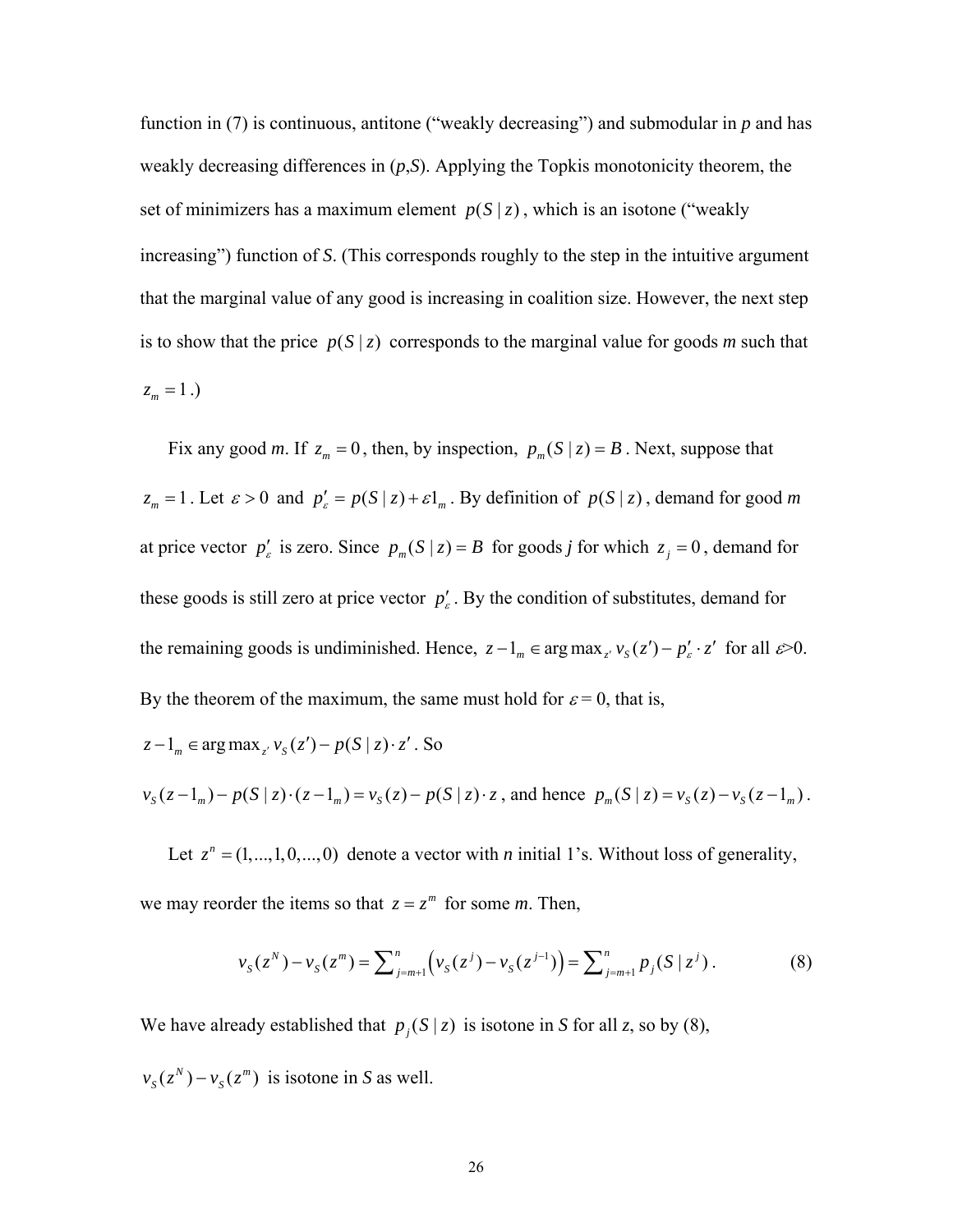function in (7) is continuous, antitone ("weakly decreasing") and submodular in *p* and has weakly decreasing differences in (*p*,*S*). Applying the Topkis monotonicity theorem, the set of minimizers has a maximum element  $p(S | z)$ , which is an isotone ("weakly") increasing") function of *S*. (This corresponds roughly to the step in the intuitive argument that the marginal value of any good is increasing in coalition size. However, the next step is to show that the price  $p(S | z)$  corresponds to the marginal value for goods *m* such that  $z_m = 1.$ 

Fix any good *m*. If  $z_m = 0$ , then, by inspection,  $p_m(S | z) = B$ . Next, suppose that  $z_m = 1$ . Let  $\varepsilon > 0$  and  $p'_\varepsilon = p(S | z) + \varepsilon 1_m$ . By definition of  $p(S | z)$ , demand for good *m* at price vector  $p'_\text{s}$  is zero. Since  $p_m(S | z) = B$  for goods *j* for which  $z_j = 0$ , demand for these goods is still zero at price vector  $p'_\n\epsilon$ . By the condition of substitutes, demand for the remaining goods is undiminished. Hence,  $z - 1_m \in \arg \max_{z'} v_s(z') - p'_s \cdot z'$  for all  $\varepsilon > 0$ . By the theorem of the maximum, the same must hold for  $\varepsilon = 0$ , that is,

$$
z - 1m \in \arg \max_{z'} v_s(z') - p(S \mid z) \cdot z' . So
$$

$$
v_S(z-1_m) - p(S | z) \cdot (z-1_m) = v_S(z) - p(S | z) \cdot z
$$
, and hence  $p_m(S | z) = v_S(z) - v_S(z-1_m)$ .

Let  $z^n = (1,...,1,0,...,0)$  denote a vector with *n* initial 1's. Without loss of generality, we may reorder the items so that  $z = z^m$  for some *m*. Then,

$$
\nu_{S}(z^{N}) - \nu_{S}(z^{m}) = \sum_{j=m+1}^{n} \left( \nu_{S}(z^{j}) - \nu_{S}(z^{j-1}) \right) = \sum_{j=m+1}^{n} p_{j}(S \mid z^{j}). \tag{8}
$$

We have already established that  $p_i(S | z)$  is isotone in *S* for all *z*, so by (8),  $v_s(z^n) - v_s(z^m)$  is isotone in *S* as well.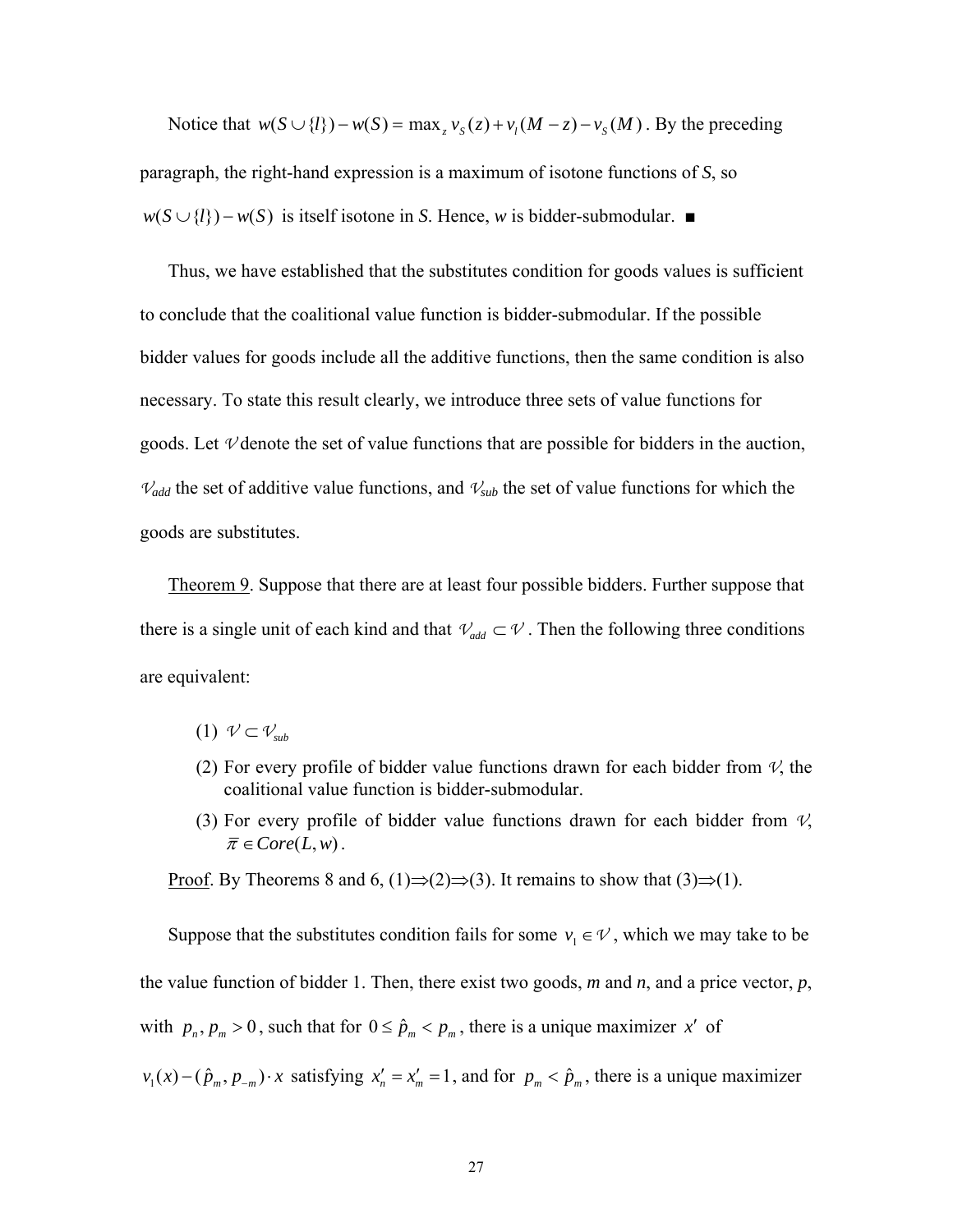Notice that  $w(S \cup \{l\}) - w(S) = \max_z v_s(z) + v_l(M - z) - v_s(M)$ . By the preceding paragraph, the right-hand expression is a maximum of isotone functions of *S*, so  $w(S \cup \{l\}) - w(S)$  is itself isotone in *S*. Hence, *w* is bidder-submodular. ■

Thus, we have established that the substitutes condition for goods values is sufficient to conclude that the coalitional value function is bidder-submodular. If the possible bidder values for goods include all the additive functions, then the same condition is also necessary. To state this result clearly, we introduce three sets of value functions for goods. Let  $\nu$  denote the set of value functions that are possible for bidders in the auction,  $V_{add}$  the set of additive value functions, and  $V_{sub}$  the set of value functions for which the goods are substitutes.

Theorem 9. Suppose that there are at least four possible bidders. Further suppose that there is a single unit of each kind and that  $V_{add} \subset V$ . Then the following three conditions are equivalent:

- $(1)$   $V \subset V_{sub}$
- (2) For every profile of bidder value functions drawn for each bidder from  $\mathcal{V}$ , the coalitional value function is bidder-submodular.
- (3) For every profile of bidder value functions drawn for each bidder from *V*,  $\overline{\pi} \in Core(L, w)$ .

Proof. By Theorems 8 and 6, (1) $\Rightarrow$ (2) $\Rightarrow$ (3). It remains to show that (3) $\Rightarrow$ (1).

Suppose that the substitutes condition fails for some  $v_1 \in V$ , which we may take to be the value function of bidder 1. Then, there exist two goods,  $m$  and  $n$ , and a price vector,  $p$ , with  $p_n, p_m > 0$ , such that for  $0 \le \hat{p}_m < p_m$ , there is a unique maximizer *x'* of  $v_1(x) - (\hat{p}_m, p_{-m}) \cdot x$  satisfying  $x'_n = x'_m = 1$ , and for  $p_m < \hat{p}_m$ , there is a unique maximizer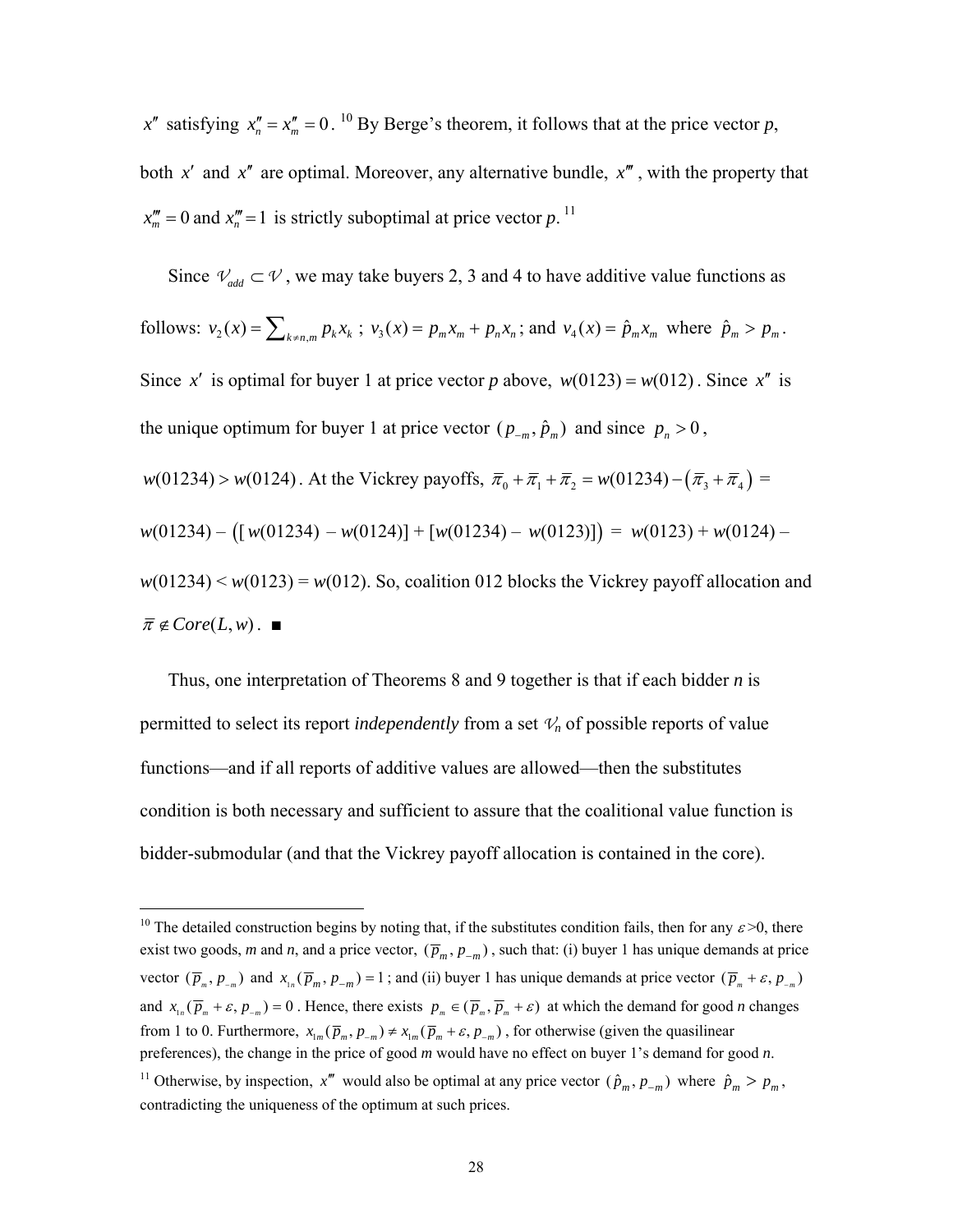*x*<sup> $r$ </sup> satisfying  $x_n^r = x_m^r = 0$ . <sup>10</sup> By Berge's theorem, it follows that at the price vector *p*, both  $x'$  and  $x''$  are optimal. Moreover, any alternative bundle,  $x''$ , with the property that  $x_m^{\prime\prime\prime} = 0$  and  $x_n^{\prime\prime\prime} = 1$  is strictly suboptimal at price vector p.<sup>11</sup>

Since  $V_{add} \subset V$ , we may take buyers 2, 3 and 4 to have additive value functions as follows:  $v_2(x) = \sum_{k \neq n,m} p_k x_k$ ;  $v_3(x) = p_m x_m + p_n x_n$ ; and  $v_4(x) = \hat{p}_m x_m$  where  $\hat{p}_m > p_m$ . Since x' is optimal for buyer 1 at price vector p above,  $w(0123) = w(012)$ . Since x'' is the unique optimum for buyer 1 at price vector  $(p_{-m}, \hat{p}_m)$  and since  $p_n > 0$ ,  $w(01234) > w(0124)$ . At the Vickrey payoffs,  $\bar{\pi}_0 + \bar{\pi}_1 + \bar{\pi}_2 = w(01234) - (\bar{\pi}_3 + \bar{\pi}_4) =$  $w(01234) - (w(01234) - w(0124)) + [w(01234) - w(0123)] = w(0123) + w(0124)$  $w(01234) \leq w(0123) = w(012)$ . So, coalition 012 blocks the Vickrey payoff allocation and  $\overline{\pi} \notin Core(L, w)$ .  $\blacksquare$ 

Thus, one interpretation of Theorems 8 and 9 together is that if each bidder *n* is permitted to select its report *independently* from a set  $V_n$  of possible reports of value functions—and if all reports of additive values are allowed—then the substitutes condition is both necessary and sufficient to assure that the coalitional value function is bidder-submodular (and that the Vickrey payoff allocation is contained in the core).

<sup>&</sup>lt;sup>10</sup> The detailed construction begins by noting that, if the substitutes condition fails, then for any  $\varepsilon > 0$ , there exist two goods, *m* and *n*, and a price vector,  $(\overline{p}_m, p_{-m})$ , such that: (i) buyer 1 has unique demands at price vector  $(\overline{p}_m, p_{-m})$  and  $x_{1n}(\overline{p}_m, p_{-m}) = 1$ ; and (ii) buyer 1 has unique demands at price vector  $(\overline{p}_m + \varepsilon, p_{-m})$ and  $x_{i_n}(\overline{p}_m + \varepsilon, p_{-m}) = 0$ . Hence, there exists  $p_m \in (\overline{p}_m, \overline{p}_m + \varepsilon)$  at which the demand for good *n* changes from 1 to 0. Furthermore,  $x_{1m}(\bar{p}_m, p_{-m}) \neq x_{1m}(\bar{p}_m + \varepsilon, p_{-m})$ , for otherwise (given the quasilinear preferences), the change in the price of good *m* would have no effect on buyer 1's demand for good *n*.

<sup>&</sup>lt;sup>11</sup> Otherwise, by inspection,  $x'''$  would also be optimal at any price vector  $(\hat{p}_m, p_{-m})$  where  $\hat{p}_m > p_m$ , contradicting the uniqueness of the optimum at such prices.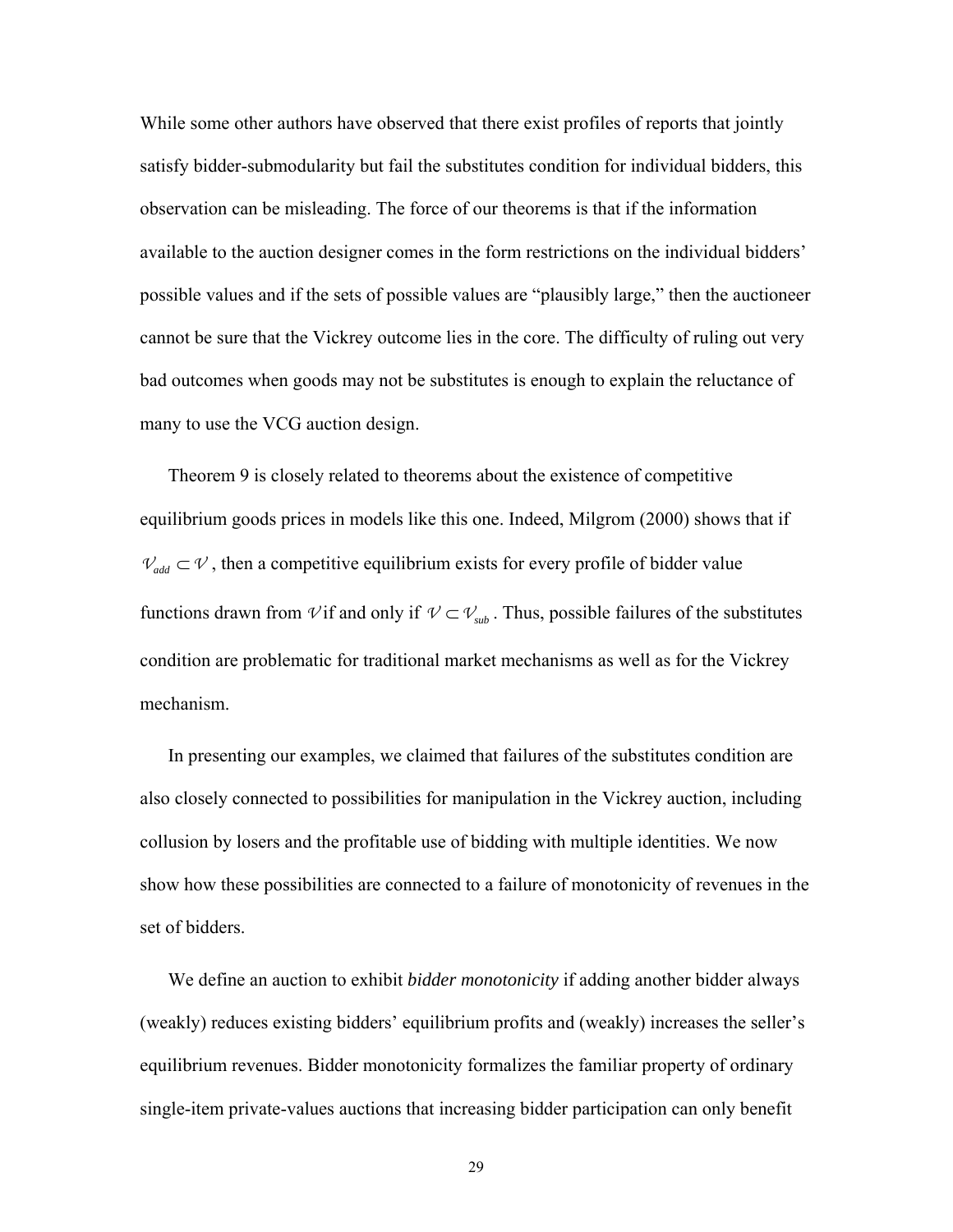While some other authors have observed that there exist profiles of reports that jointly satisfy bidder-submodularity but fail the substitutes condition for individual bidders, this observation can be misleading. The force of our theorems is that if the information available to the auction designer comes in the form restrictions on the individual bidders' possible values and if the sets of possible values are "plausibly large," then the auctioneer cannot be sure that the Vickrey outcome lies in the core. The difficulty of ruling out very bad outcomes when goods may not be substitutes is enough to explain the reluctance of many to use the VCG auction design.

Theorem 9 is closely related to theorems about the existence of competitive equilibrium goods prices in models like this one. Indeed, Milgrom (2000) shows that if  $V_{\text{add}} \subset V$ , then a competitive equilibrium exists for every profile of bidder value functions drawn from  $\mathcal V$  if and only if  $\mathcal V \subset \mathcal V_{sub}$ . Thus, possible failures of the substitutes condition are problematic for traditional market mechanisms as well as for the Vickrey mechanism.

In presenting our examples, we claimed that failures of the substitutes condition are also closely connected to possibilities for manipulation in the Vickrey auction, including collusion by losers and the profitable use of bidding with multiple identities. We now show how these possibilities are connected to a failure of monotonicity of revenues in the set of bidders.

We define an auction to exhibit *bidder monotonicity* if adding another bidder always (weakly) reduces existing bidders' equilibrium profits and (weakly) increases the seller's equilibrium revenues. Bidder monotonicity formalizes the familiar property of ordinary single-item private-values auctions that increasing bidder participation can only benefit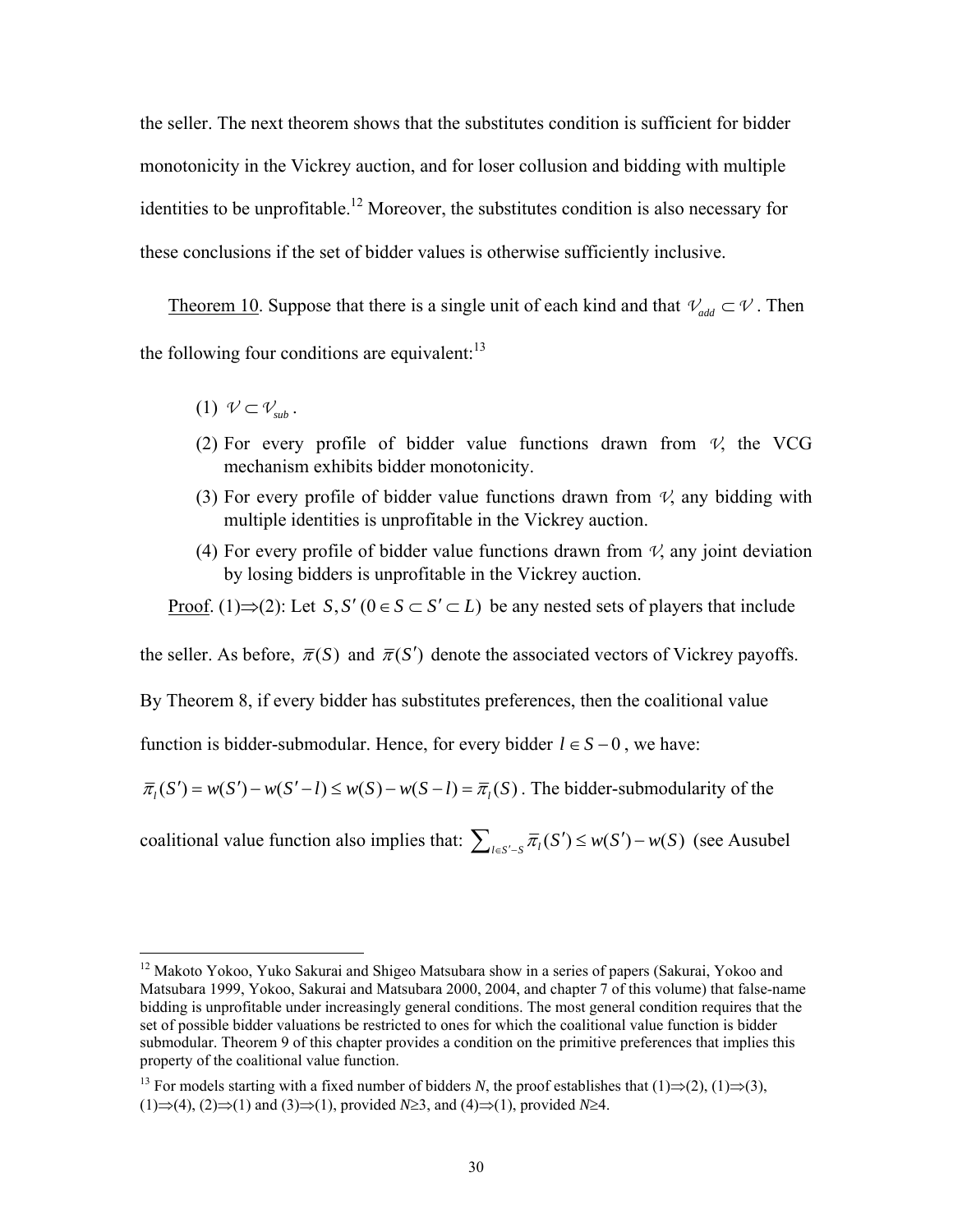the seller. The next theorem shows that the substitutes condition is sufficient for bidder monotonicity in the Vickrey auction, and for loser collusion and bidding with multiple identities to be unprofitable.<sup>12</sup> Moreover, the substitutes condition is also necessary for these conclusions if the set of bidder values is otherwise sufficiently inclusive.

Theorem 10. Suppose that there is a single unit of each kind and that  $V_{add} \subset V$ . Then

the following four conditions are equivalent: $^{13}$ 

 $(1)$   $V \subset V_{\text{sub}}$ .

<u>.</u>

- (2) For every profile of bidder value functions drawn from  $\mathcal{V}$ , the VCG mechanism exhibits bidder monotonicity.
- (3) For every profile of bidder value functions drawn from *V*, any bidding with multiple identities is unprofitable in the Vickrey auction.
- (4) For every profile of bidder value functions drawn from  $\nu$ , any joint deviation by losing bidders is unprofitable in the Vickrey auction.

<u>Proof</u>. (1)⇒(2): Let *S*, *S'* ( $0 \in S \subset S' \subset L$ ) be any nested sets of players that include

the seller. As before,  $\bar{\pi}(S)$  and  $\bar{\pi}(S')$  denote the associated vectors of Vickrey payoffs.

By Theorem 8, if every bidder has substitutes preferences, then the coalitional value

function is bidder-submodular. Hence, for every bidder  $l \in S - 0$ , we have:

 $\overline{\pi}_i(S') = w(S') - w(S' - l) \leq w(S) - w(S - l) = \overline{\pi}_i(S)$ . The bidder-submodularity of the

coalitional value function also implies that:  $\sum_{l \in S' - S} \overline{\pi}_l(S') \leq w(S') - w(S)$  (see Ausubel

<sup>&</sup>lt;sup>12</sup> Makoto Yokoo, Yuko Sakurai and Shigeo Matsubara show in a series of papers (Sakurai, Yokoo and Matsubara 1999, Yokoo, Sakurai and Matsubara 2000, 2004, and chapter 7 of this volume) that false-name bidding is unprofitable under increasingly general conditions. The most general condition requires that the set of possible bidder valuations be restricted to ones for which the coalitional value function is bidder submodular. Theorem 9 of this chapter provides a condition on the primitive preferences that implies this property of the coalitional value function.

<sup>&</sup>lt;sup>13</sup> For models starting with a fixed number of bidders *N*, the proof establishes that  $(1) \Rightarrow (2)$ ,  $(1) \Rightarrow (3)$ , (1)⇒(4), (2)⇒(1) and (3)⇒(1), provided *N*≥3, and (4)⇒(1), provided *N*≥4.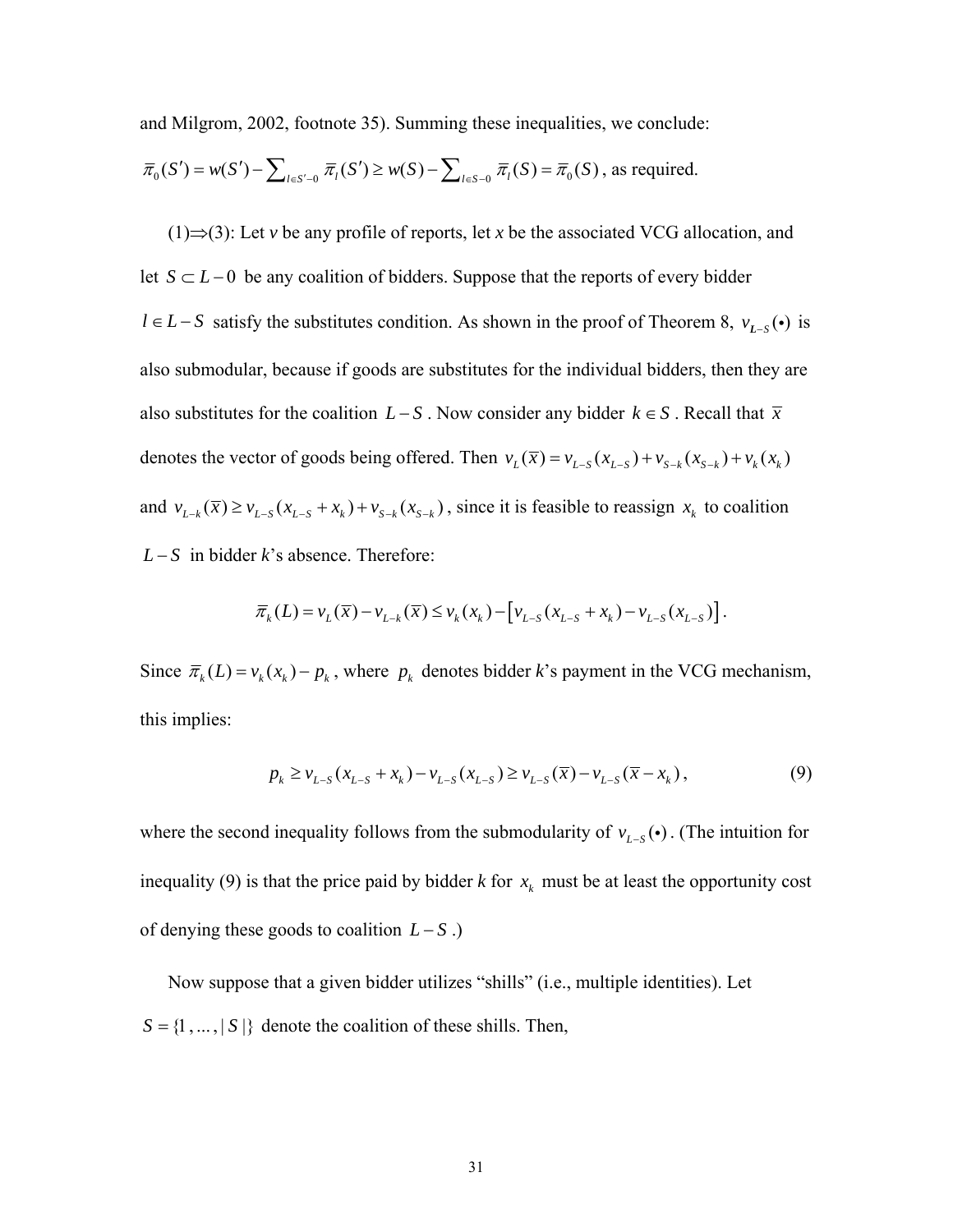and Milgrom, 2002, footnote 35). Summing these inequalities, we conclude:

$$
\overline{\pi}_0(S') = w(S') - \sum_{l \in S' - 0} \overline{\pi}_l(S') \ge w(S) - \sum_{l \in S - 0} \overline{\pi}_l(S) = \overline{\pi}_0(S)
$$
, as required.

(1)⇒(3): Let *v* be any profile of reports, let *x* be the associated VCG allocation, and let  $S ⊂ L - 0$  be any coalition of bidders. Suppose that the reports of every bidder *l* ∈ *L* − *S* satisfy the substitutes condition. As shown in the proof of Theorem 8,  $v_{L-S}(\cdot)$  is also submodular, because if goods are substitutes for the individual bidders, then they are also substitutes for the coalition  $L-S$ . Now consider any bidder  $k \in S$ . Recall that  $\bar{x}$ denotes the vector of goods being offered. Then  $v_L(\overline{x}) = v_{L-S}(x_{L-S}) + v_{S-k}(x_{S-k}) + v_k(x_k)$ and  $v_{L-k}(\overline{x}) \ge v_{L-S}(x_{L-S} + x_k) + v_{S-k}(x_{S-k})$ , since it is feasible to reassign  $x_k$  to coalition *L* − *S* in bidder *k*'s absence. Therefore:

$$
\overline{\pi}_k(L) = v_L(\overline{x}) - v_{L-k}(\overline{x}) \le v_k(x_k) - \left[ v_{L-S}(x_{L-S} + x_k) - v_{L-S}(x_{L-S}) \right].
$$

Since  $\overline{\pi}_k(L) = v_k(x_k) - p_k$ , where  $p_k$  denotes bidder *k*'s payment in the VCG mechanism, this implies:

$$
p_k \ge v_{L-S}(x_{L-S} + x_k) - v_{L-S}(x_{L-S}) \ge v_{L-S}(\overline{x}) - v_{L-S}(\overline{x} - x_k),
$$
\n(9)

where the second inequality follows from the submodularity of  $v_{L-S}(\cdot)$ . (The intuition for inequality (9) is that the price paid by bidder *k* for  $x_k$  must be at least the opportunity cost of denying these goods to coalition  $L-S$ .)

Now suppose that a given bidder utilizes "shills" (i.e., multiple identities). Let  $S = \{1, \ldots, |S| \}$  denote the coalition of these shills. Then,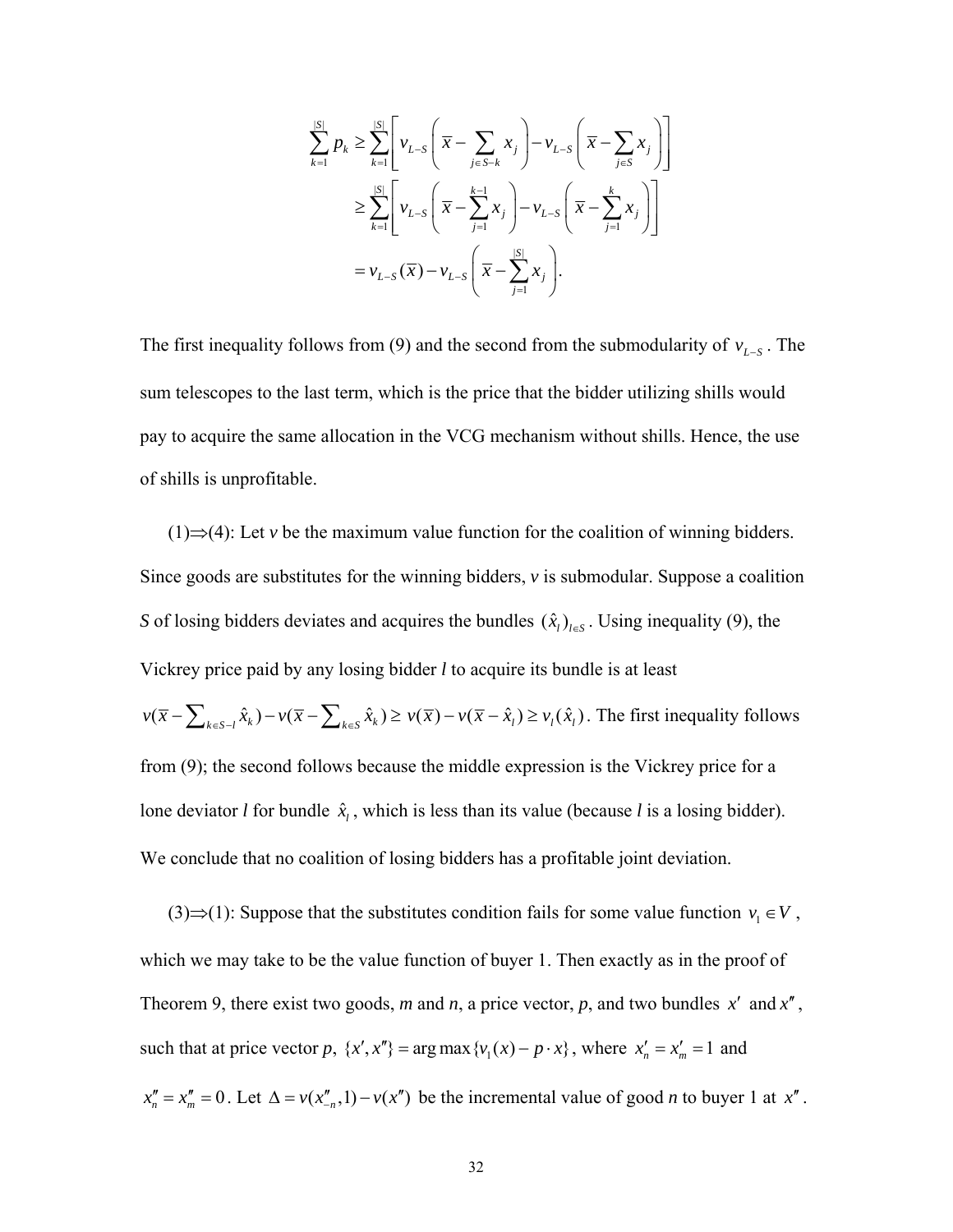$$
\sum_{k=1}^{|S|} p_k \ge \sum_{k=1}^{|S|} \left[ v_{L-S} \left( \overline{x} - \sum_{j \in S-k} x_j \right) - v_{L-S} \left( \overline{x} - \sum_{j \in S} x_j \right) \right]
$$
  

$$
\ge \sum_{k=1}^{|S|} \left[ v_{L-S} \left( \overline{x} - \sum_{j=1}^{k-1} x_j \right) - v_{L-S} \left( \overline{x} - \sum_{j=1}^{k} x_j \right) \right]
$$
  

$$
= v_{L-S} \left( \overline{x} \right) - v_{L-S} \left( \overline{x} - \sum_{j=1}^{|S|} x_j \right).
$$

The first inequality follows from (9) and the second from the submodularity of  $v_{L-S}$ . The sum telescopes to the last term, which is the price that the bidder utilizing shills would pay to acquire the same allocation in the VCG mechanism without shills. Hence, the use of shills is unprofitable.

(1)⇒(4): Let *v* be the maximum value function for the coalition of winning bidders. Since goods are substitutes for the winning bidders, *v* is submodular. Suppose a coalition *S* of losing bidders deviates and acquires the bundles  $(\hat{x}_i)_{i \in S}$ . Using inequality (9), the Vickrey price paid by any losing bidder *l* to acquire its bundle is at least

 $v(\overline{x} - \sum_{k \in S - l} \hat{x}_k) - v(\overline{x} - \sum_{k \in S} \hat{x}_k) \ge v(\overline{x}) - v(\overline{x} - \hat{x}_l) \ge v_l(\hat{x}_l)$ . The first inequality follows from (9); the second follows because the middle expression is the Vickrey price for a lone deviator *l* for bundle  $\hat{x}_l$ , which is less than its value (because *l* is a losing bidder). We conclude that no coalition of losing bidders has a profitable joint deviation.

(3)⇒(1): Suppose that the substitutes condition fails for some value function  $v_1 \in V$ , which we may take to be the value function of buyer 1. Then exactly as in the proof of Theorem 9, there exist two goods, *m* and *n*, a price vector, *p*, and two bundles  $x'$  and  $x''$ , such that at price vector *p*,  $\{x', x''\} = \arg \max \{v_1(x) - p \cdot x\}$ , where  $x'_n = x'_m = 1$  and  $x_n'' = x_m'' = 0$ . Let  $\Delta = v(x_{-n}''', 1) - v(x'')$  be the incremental value of good *n* to buyer 1 at  $x''$ .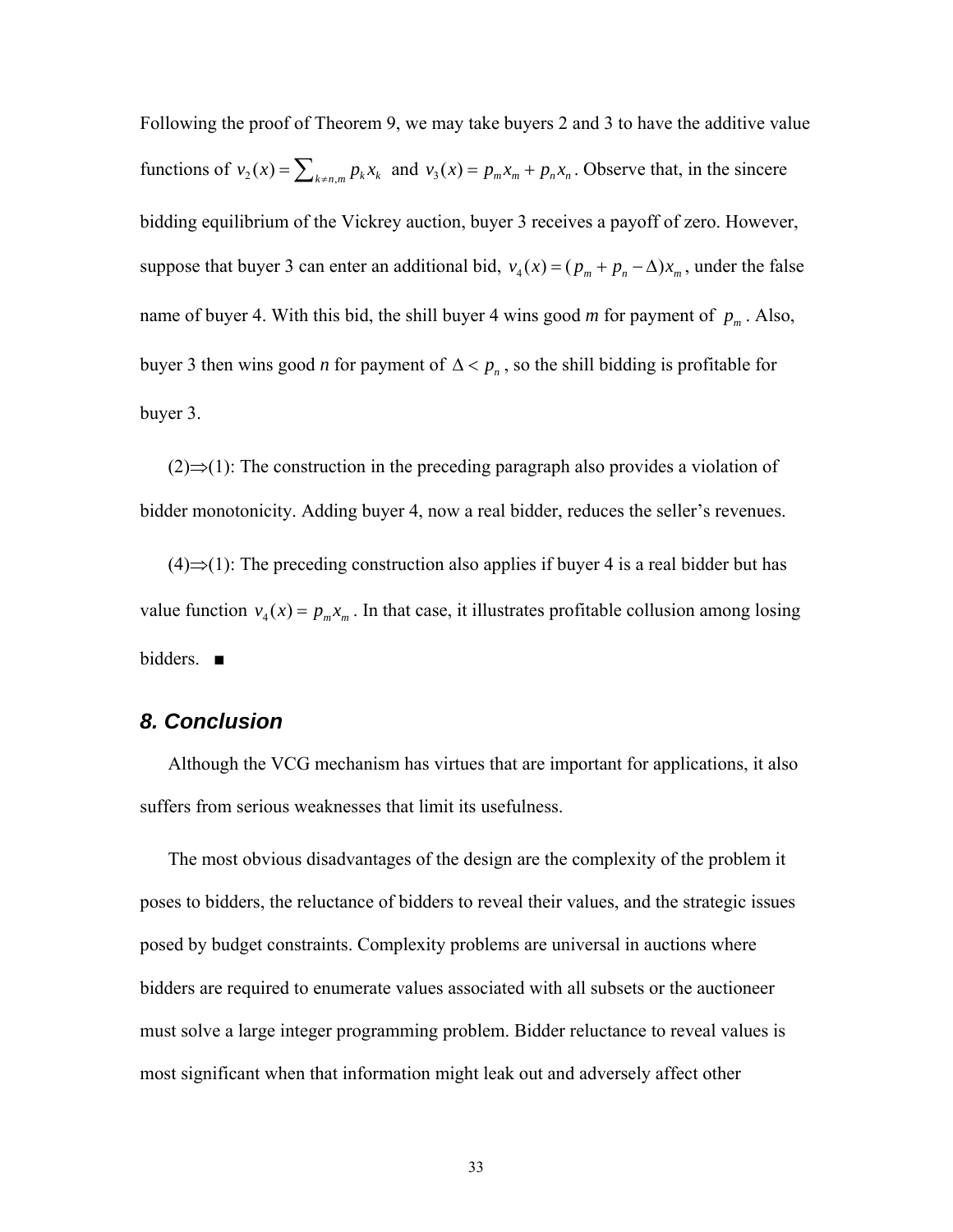Following the proof of Theorem 9, we may take buyers 2 and 3 to have the additive value functions of  $v_2(x) = \sum_{k \neq n,m} p_k x_k$  and  $v_3(x) = p_m x_m + p_n x_n$ . Observe that, in the sincere bidding equilibrium of the Vickrey auction, buyer 3 receives a payoff of zero. However, suppose that buyer 3 can enter an additional bid,  $v_4(x) = (p_m + p_n - \Delta)x_m$ , under the false name of buyer 4. With this bid, the shill buyer 4 wins good *m* for payment of  $p_m$ . Also, buyer 3 then wins good *n* for payment of  $\Delta < p_n$ , so the shill bidding is profitable for buyer 3.

 $(2) \implies (1)$ : The construction in the preceding paragraph also provides a violation of bidder monotonicity. Adding buyer 4, now a real bidder, reduces the seller's revenues.

 $(4) \Rightarrow (1)$ : The preceding construction also applies if buyer 4 is a real bidder but has value function  $v_4(x) = p_m x_m$ . In that case, it illustrates profitable collusion among losing bidders. ■

## *8. Conclusion*

Although the VCG mechanism has virtues that are important for applications, it also suffers from serious weaknesses that limit its usefulness.

The most obvious disadvantages of the design are the complexity of the problem it poses to bidders, the reluctance of bidders to reveal their values, and the strategic issues posed by budget constraints. Complexity problems are universal in auctions where bidders are required to enumerate values associated with all subsets or the auctioneer must solve a large integer programming problem. Bidder reluctance to reveal values is most significant when that information might leak out and adversely affect other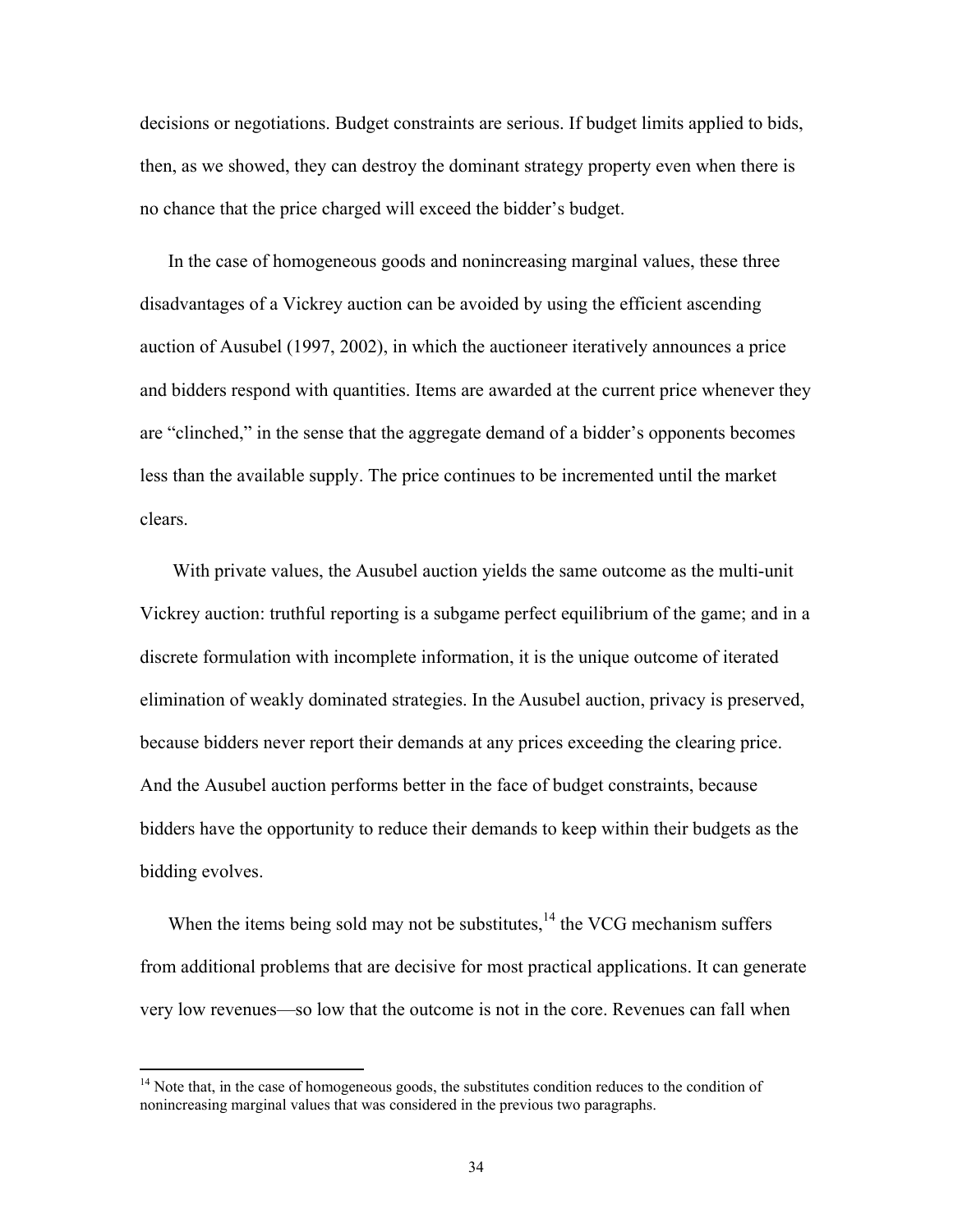decisions or negotiations. Budget constraints are serious. If budget limits applied to bids, then, as we showed, they can destroy the dominant strategy property even when there is no chance that the price charged will exceed the bidder's budget.

In the case of homogeneous goods and nonincreasing marginal values, these three disadvantages of a Vickrey auction can be avoided by using the efficient ascending auction of Ausubel (1997, 2002), in which the auctioneer iteratively announces a price and bidders respond with quantities. Items are awarded at the current price whenever they are "clinched," in the sense that the aggregate demand of a bidder's opponents becomes less than the available supply. The price continues to be incremented until the market clears.

 With private values, the Ausubel auction yields the same outcome as the multi-unit Vickrey auction: truthful reporting is a subgame perfect equilibrium of the game; and in a discrete formulation with incomplete information, it is the unique outcome of iterated elimination of weakly dominated strategies. In the Ausubel auction, privacy is preserved, because bidders never report their demands at any prices exceeding the clearing price. And the Ausubel auction performs better in the face of budget constraints, because bidders have the opportunity to reduce their demands to keep within their budgets as the bidding evolves.

When the items being sold may not be substitutes,  $^{14}$  the VCG mechanism suffers from additional problems that are decisive for most practical applications. It can generate very low revenues—so low that the outcome is not in the core. Revenues can fall when

<sup>&</sup>lt;sup>14</sup> Note that, in the case of homogeneous goods, the substitutes condition reduces to the condition of nonincreasing marginal values that was considered in the previous two paragraphs.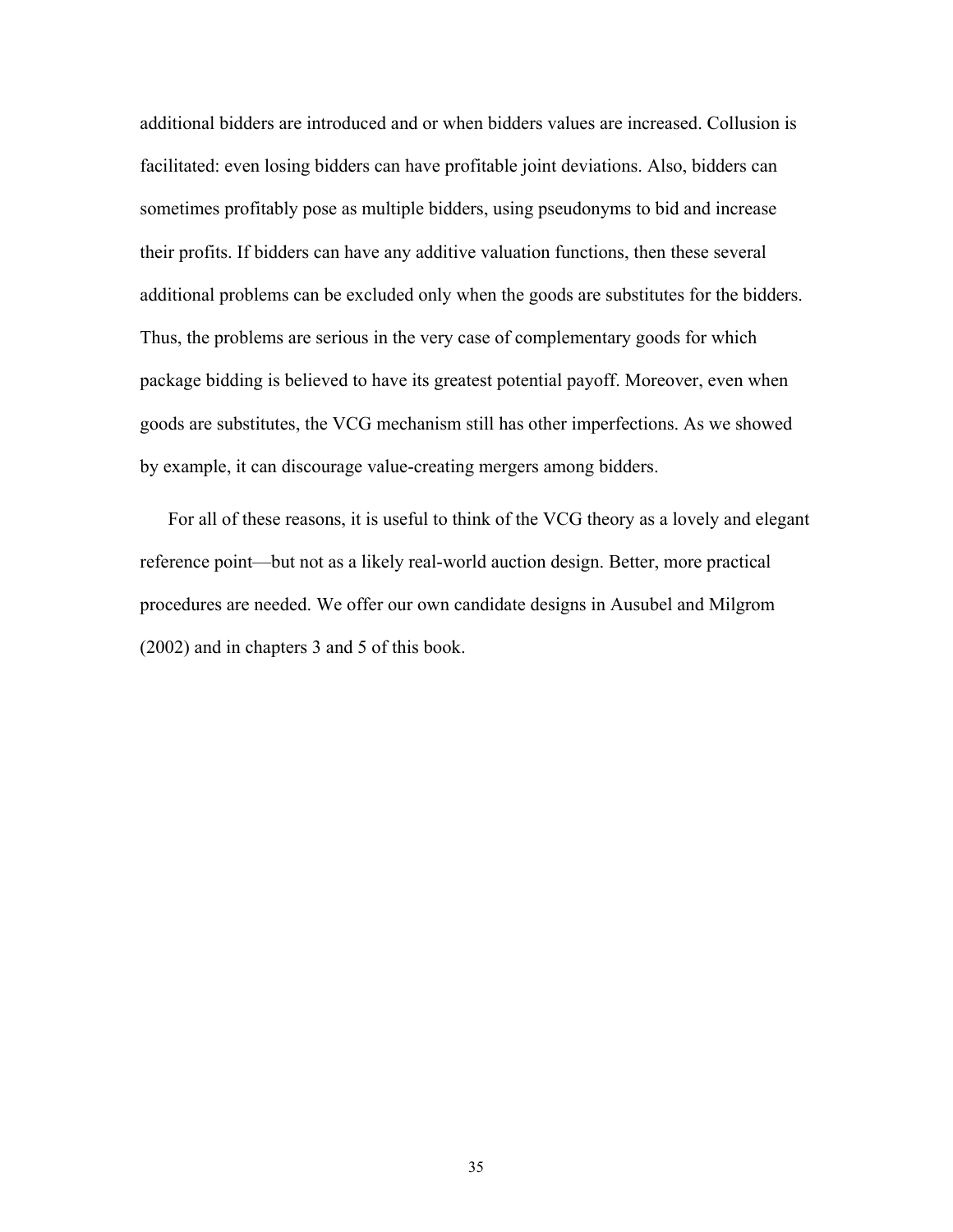additional bidders are introduced and or when bidders values are increased. Collusion is facilitated: even losing bidders can have profitable joint deviations. Also, bidders can sometimes profitably pose as multiple bidders, using pseudonyms to bid and increase their profits. If bidders can have any additive valuation functions, then these several additional problems can be excluded only when the goods are substitutes for the bidders. Thus, the problems are serious in the very case of complementary goods for which package bidding is believed to have its greatest potential payoff. Moreover, even when goods are substitutes, the VCG mechanism still has other imperfections. As we showed by example, it can discourage value-creating mergers among bidders.

For all of these reasons, it is useful to think of the VCG theory as a lovely and elegant reference point—but not as a likely real-world auction design. Better, more practical procedures are needed. We offer our own candidate designs in Ausubel and Milgrom (2002) and in chapters 3 and 5 of this book.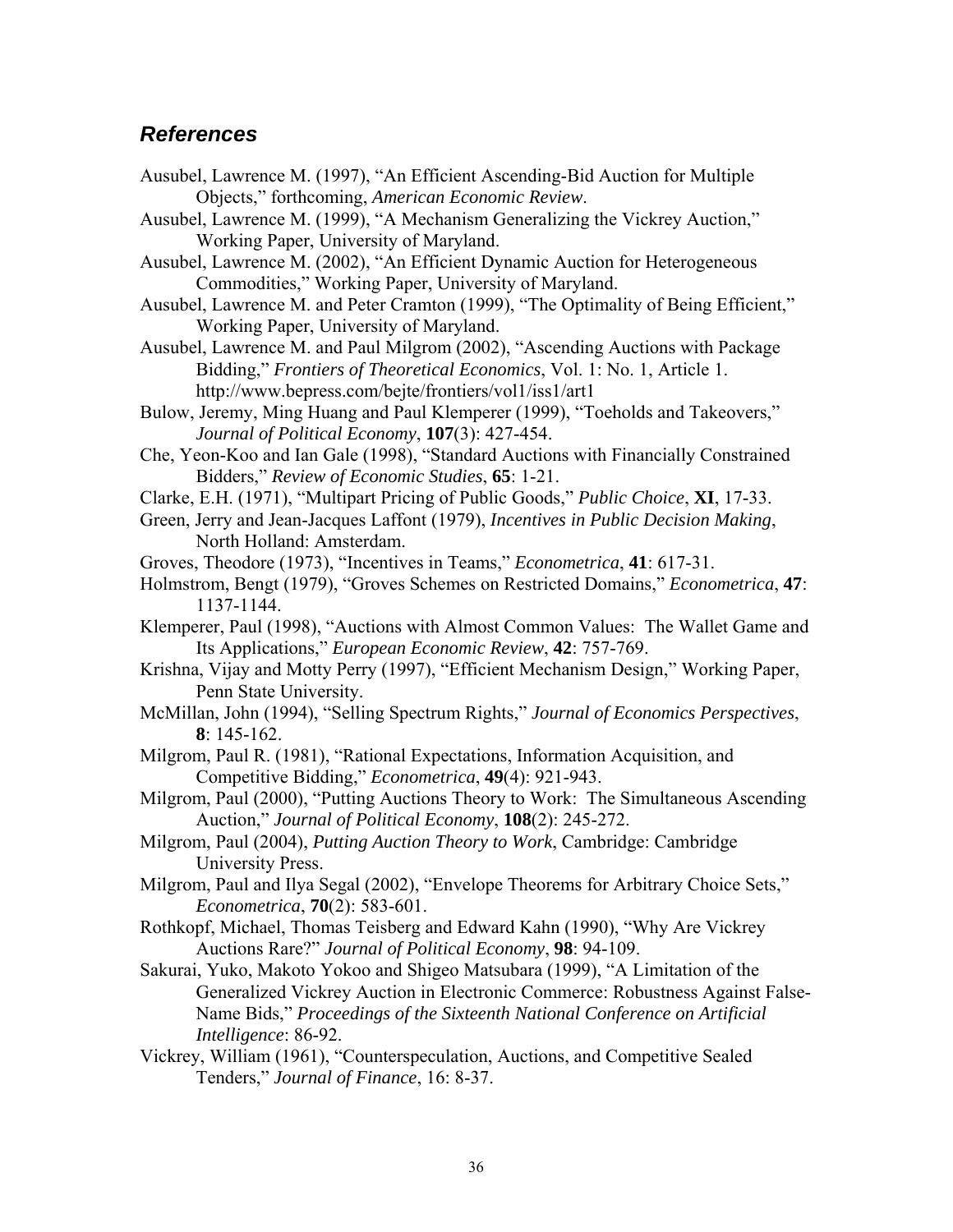# *References*

- Ausubel, Lawrence M. (1997), "An Efficient Ascending-Bid Auction for Multiple Objects," forthcoming, *American Economic Review*.
- Ausubel, Lawrence M. (1999), "A Mechanism Generalizing the Vickrey Auction," Working Paper, University of Maryland.
- Ausubel, Lawrence M. (2002), "An Efficient Dynamic Auction for Heterogeneous Commodities," Working Paper, University of Maryland.
- Ausubel, Lawrence M. and Peter Cramton (1999), "The Optimality of Being Efficient," Working Paper, University of Maryland.
- Ausubel, Lawrence M. and Paul Milgrom (2002), "Ascending Auctions with Package Bidding," *Frontiers of Theoretical Economics*, Vol. 1: No. 1, Article 1. http://www.bepress.com/bejte/frontiers/vol1/iss1/art1
- Bulow, Jeremy, Ming Huang and Paul Klemperer (1999), "Toeholds and Takeovers," *Journal of Political Economy*, **107**(3): 427-454.
- Che, Yeon-Koo and Ian Gale (1998), "Standard Auctions with Financially Constrained Bidders," *Review of Economic Studies*, **65**: 1-21.
- Clarke, E.H. (1971), "Multipart Pricing of Public Goods," *Public Choice*, **XI**, 17-33.
- Green, Jerry and Jean-Jacques Laffont (1979), *Incentives in Public Decision Making*, North Holland: Amsterdam.
- Groves, Theodore (1973), "Incentives in Teams," *Econometrica*, **41**: 617-31.
- Holmstrom, Bengt (1979), "Groves Schemes on Restricted Domains," *Econometrica*, **47**: 1137-1144.
- Klemperer, Paul (1998), "Auctions with Almost Common Values: The Wallet Game and Its Applications," *European Economic Review*, **42**: 757-769.
- Krishna, Vijay and Motty Perry (1997), "Efficient Mechanism Design," Working Paper, Penn State University.
- McMillan, John (1994), "Selling Spectrum Rights," *Journal of Economics Perspectives*, **8**: 145-162.
- Milgrom, Paul R. (1981), "Rational Expectations, Information Acquisition, and Competitive Bidding," *Econometrica*, **49**(4): 921-943.
- Milgrom, Paul (2000), "Putting Auctions Theory to Work: The Simultaneous Ascending Auction," *Journal of Political Economy*, **108**(2): 245-272.
- Milgrom, Paul (2004), *Putting Auction Theory to Work*, Cambridge: Cambridge University Press.
- Milgrom, Paul and Ilya Segal (2002), "Envelope Theorems for Arbitrary Choice Sets," *Econometrica*, **70**(2): 583-601.
- Rothkopf, Michael, Thomas Teisberg and Edward Kahn (1990), "Why Are Vickrey Auctions Rare?" *Journal of Political Economy*, **98**: 94-109.
- Sakurai, Yuko, Makoto Yokoo and Shigeo Matsubara (1999), "A Limitation of the Generalized Vickrey Auction in Electronic Commerce: Robustness Against False-Name Bids," *Proceedings of the Sixteenth National Conference on Artificial Intelligence*: 86-92.
- Vickrey, William (1961), "Counterspeculation, Auctions, and Competitive Sealed Tenders," *Journal of Finance*, 16: 8-37.